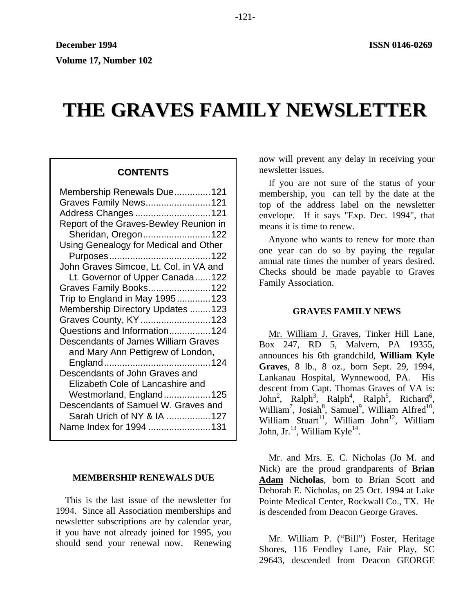# **THE GRAVES FAMILY NEWSLETTER**

# **CONTENTS**

| Membership Renewals Due 121                |
|--------------------------------------------|
| Graves Family News 121                     |
| Address Changes  121                       |
| Report of the Graves-Bewley Reunion in     |
| Sheridan, Oregon122                        |
| Using Genealogy for Medical and Other      |
|                                            |
| John Graves Simcoe, Lt. Col. in VA and     |
| Lt. Governor of Upper Canada122            |
| Graves Family Books122                     |
| Trip to England in May 1995123             |
| Membership Directory Updates 123           |
| Graves County, KY  123                     |
| Questions and Information 124              |
| <b>Descendants of James William Graves</b> |
| and Mary Ann Pettigrew of London,          |
|                                            |
| Descendants of John Graves and             |
| Elizabeth Cole of Lancashire and           |
| Westmorland, England125                    |
| Descendants of Samuel W. Graves and        |
| Sarah Urich of NY & IA  127                |
| Name Index for 1994 131                    |
|                                            |

## **MEMBERSHIP RENEWALS DUE**

This is the last issue of the newsletter for 1994. Since all Association memberships and newsletter subscriptions are by calendar year, if you have not already joined for 1995, you should send your renewal now. Renewing now will prevent any delay in receiving your newsletter issues.

If you are not sure of the status of your membership, you can tell by the date at the top of the address label on the newsletter envelope. If it says "Exp. Dec. 1994", that means it is time to renew.

Anyone who wants to renew for more than one year can do so by paying the regular annual rate times the number of years desired. Checks should be made payable to Graves Family Association.

## **GRAVES FAMILY NEWS**

Mr. William J. Graves, Tinker Hill Lane, Box 247, RD 5, Malvern, PA 19355, announces his 6th grandchild, **William Kyle Graves**, 8 lb., 8 oz., born Sept. 29, 1994, Lankanau Hospital, Wynnewood, PA. His descent from Capt. Thomas Graves of VA is: John<sup>2</sup>, Ralph<sup>3</sup>, Ralph<sup>4</sup>, Ralph<sup>5</sup>, Richard<sup>6</sup>, William<sup>7</sup>, Josiah<sup>8</sup>, Samuel<sup>9</sup>, William Alfred<sup>10</sup>, William Stuart<sup>11</sup>, William John<sup>12</sup>, William John, Jr.<sup>13</sup>, William Kyle<sup>14</sup>.

Mr. and Mrs. E. C. Nicholas (Jo M. and Nick) are the proud grandparents of **Brian Adam Nicholas**, born to Brian Scott and Deborah E. Nicholas, on 25 Oct. 1994 at Lake Pointe Medical Center, Rockwall Co., TX. He is descended from Deacon George Graves.

Mr. William P. ("Bill") Foster, Heritage Shores, 116 Fendley Lane, Fair Play, SC 29643, descended from Deacon GEORGE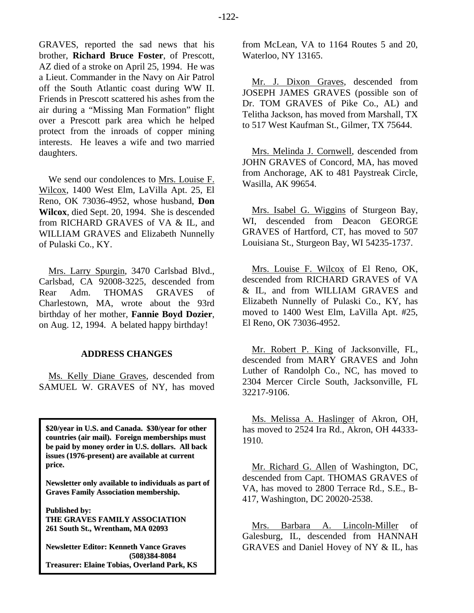GRAVES, reported the sad news that his brother, **Richard Bruce Foster**, of Prescott, AZ died of a stroke on April 25, 1994. He was a Lieut. Commander in the Navy on Air Patrol off the South Atlantic coast during WW II. Friends in Prescott scattered his ashes from the air during a "Missing Man Formation" flight over a Prescott park area which he helped protect from the inroads of copper mining interests. He leaves a wife and two married daughters.

We send our condolences to Mrs. Louise F. Wilcox, 1400 West Elm, LaVilla Apt. 25, El Reno, OK 73036-4952, whose husband, **Don Wilcox**, died Sept. 20, 1994. She is descended from RICHARD GRAVES of VA & IL, and WILLIAM GRAVES and Elizabeth Nunnelly of Pulaski Co., KY.

Mrs. Larry Spurgin, 3470 Carlsbad Blvd., Carlsbad, CA 92008-3225, descended from Rear Adm. THOMAS GRAVES of Charlestown, MA, wrote about the 93rd birthday of her mother, **Fannie Boyd Dozier**, on Aug. 12, 1994. A belated happy birthday!

## **ADDRESS CHANGES**

Ms. Kelly Diane Graves, descended from SAMUEL W. GRAVES of NY, has moved

**\$20/year in U.S. and Canada. \$30/year for other countries (air mail). Foreign memberships must be paid by money order in U.S. dollars. All back issues (1976-present) are available at current price.**

**Newsletter only available to individuals as part of Graves Family Association membership.**

**Published by: THE GRAVES FAMILY ASSOCIATION 261 South St., Wrentham, MA 02093**

**Newsletter Editor: Kenneth Vance Graves (508)384-8084 Treasurer: Elaine Tobias, Overland Park, KS** from McLean, VA to 1164 Routes 5 and 20, Waterloo, NY 13165.

Mr. J. Dixon Graves, descended from JOSEPH JAMES GRAVES (possible son of Dr. TOM GRAVES of Pike Co., AL) and Telitha Jackson, has moved from Marshall, TX to 517 West Kaufman St., Gilmer, TX 75644.

Mrs. Melinda J. Cornwell, descended from JOHN GRAVES of Concord, MA, has moved from Anchorage, AK to 481 Paystreak Circle, Wasilla, AK 99654.

Mrs. Isabel G. Wiggins of Sturgeon Bay, WI, descended from Deacon GEORGE GRAVES of Hartford, CT, has moved to 507 Louisiana St., Sturgeon Bay, WI 54235-1737.

Mrs. Louise F. Wilcox of El Reno, OK, descended from RICHARD GRAVES of VA & IL, and from WILLIAM GRAVES and Elizabeth Nunnelly of Pulaski Co., KY, has moved to 1400 West Elm, LaVilla Apt. #25, El Reno, OK 73036-4952.

Mr. Robert P. King of Jacksonville, FL, descended from MARY GRAVES and John Luther of Randolph Co., NC, has moved to 2304 Mercer Circle South, Jacksonville, FL 32217-9106.

Ms. Melissa A. Haslinger of Akron, OH, has moved to 2524 Ira Rd., Akron, OH 44333- 1910.

Mr. Richard G. Allen of Washington, DC, descended from Capt. THOMAS GRAVES of VA, has moved to 2800 Terrace Rd., S.E., B-417, Washington, DC 20020-2538.

Mrs. Barbara A. Lincoln-Miller of Galesburg, IL, descended from HANNAH GRAVES and Daniel Hovey of NY & IL, has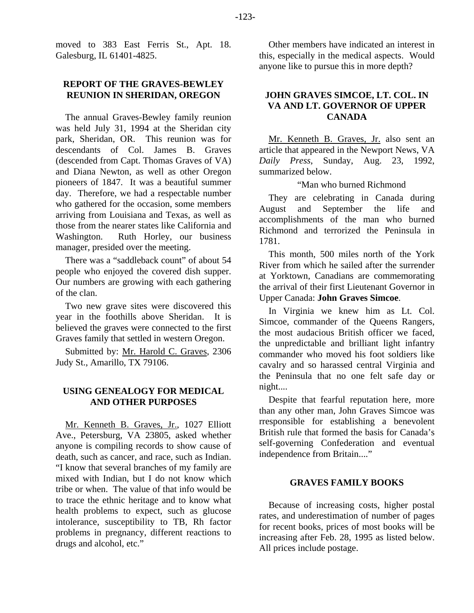moved to 383 East Ferris St., Apt. 18. Galesburg, IL 61401-4825.

## **REPORT OF THE GRAVES-BEWLEY REUNION IN SHERIDAN, OREGON**

The annual Graves-Bewley family reunion was held July 31, 1994 at the Sheridan city park, Sheridan, OR. This reunion was for descendants of Col. James B. Graves (descended from Capt. Thomas Graves of VA) and Diana Newton, as well as other Oregon pioneers of 1847. It was a beautiful summer day. Therefore, we had a respectable number who gathered for the occasion, some members arriving from Louisiana and Texas, as well as those from the nearer states like California and Washington. Ruth Horley, our business manager, presided over the meeting.

There was a "saddleback count" of about 54 people who enjoyed the covered dish supper. Our numbers are growing with each gathering of the clan.

Two new grave sites were discovered this year in the foothills above Sheridan. It is believed the graves were connected to the first Graves family that settled in western Oregon.

Submitted by: Mr. Harold C. Graves, 2306 Judy St., Amarillo, TX 79106.

## **USING GENEALOGY FOR MEDICAL AND OTHER PURPOSES**

Mr. Kenneth B. Graves, Jr., 1027 Elliott Ave., Petersburg, VA 23805, asked whether anyone is compiling records to show cause of death, such as cancer, and race, such as Indian. "I know that several branches of my family are mixed with Indian, but I do not know which tribe or when. The value of that info would be to trace the ethnic heritage and to know what health problems to expect, such as glucose intolerance, susceptibility to TB, Rh factor problems in pregnancy, different reactions to drugs and alcohol, etc."

Other members have indicated an interest in this, especially in the medical aspects. Would anyone like to pursue this in more depth?

# **JOHN GRAVES SIMCOE, LT. COL. IN VA AND LT. GOVERNOR OF UPPER CANADA**

Mr. Kenneth B. Graves, Jr. also sent an article that appeared in the Newport News, VA *Daily Press*, Sunday, Aug. 23, 1992, summarized below.

"Man who burned Richmond

They are celebrating in Canada during August and September the life and accomplishments of the man who burned Richmond and terrorized the Peninsula in 1781.

This month, 500 miles north of the York River from which he sailed after the surrender at Yorktown, Canadians are commemorating the arrival of their first Lieutenant Governor in Upper Canada: **John Graves Simcoe**.

In Virginia we knew him as Lt. Col. Simcoe, commander of the Queens Rangers, the most audacious British officer we faced, the unpredictable and brilliant light infantry commander who moved his foot soldiers like cavalry and so harassed central Virginia and the Peninsula that no one felt safe day or night....

Despite that fearful reputation here, more than any other man, John Graves Simcoe was rresponsible for establishing a benevolent British rule that formed the basis for Canada's self-governing Confederation and eventual independence from Britain...."

## **GRAVES FAMILY BOOKS**

Because of increasing costs, higher postal rates, and underestimation of number of pages for recent books, prices of most books will be increasing after Feb. 28, 1995 as listed below. All prices include postage.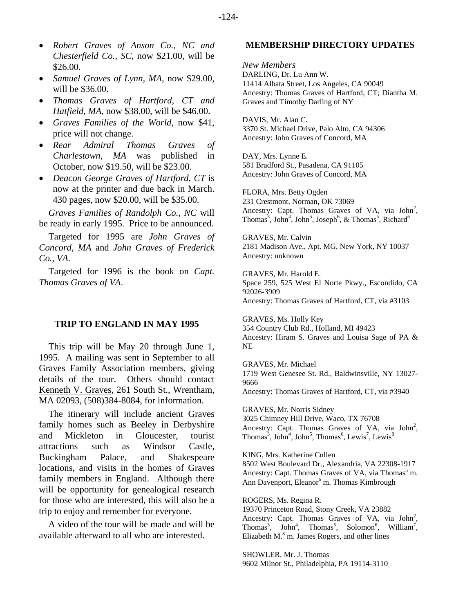- *Samuel Graves of Lynn, MA*, now \$29.00, will be \$36.00.
- *Thomas Graves of Hartford, CT and Hatfield, MA*, now \$38.00, will be \$46.00.
- *Graves Families of the World,* now \$41, price will not change.
- *Rear Admiral Thomas Graves of Charlestown, MA* was published in October, now \$19.50, will be \$23.00.
- *Deacon George Graves of Hartford, CT* is now at the printer and due back in March. 430 pages, now \$20.00, will be \$35.00.

*Graves Families of Randolph Co., NC* will be ready in early 1995. Price to be announced.

Targeted for 1995 are *John Graves of Concord, MA* and *John Graves of Frederick Co., VA*.

Targeted for 1996 is the book on *Capt. Thomas Graves of VA*.

#### **TRIP TO ENGLAND IN MAY 1995**

This trip will be May 20 through June 1, 1995. A mailing was sent in September to all Graves Family Association members, giving details of the tour. Others should contact Kenneth V. Graves, 261 South St., Wrentham, MA 02093, (508)384-8084, for information.

The itinerary will include ancient Graves family homes such as Beeley in Derbyshire and Mickleton in Gloucester, tourist attractions such as Windsor Castle, Buckingham Palace, and Shakespeare locations, and visits in the homes of Graves family members in England. Although there will be opportunity for genealogical research for those who are interested, this will also be a trip to enjoy and remember for everyone.

A video of the tour will be made and will be available afterward to all who are interested.

#### **MEMBERSHIP DIRECTORY UPDATES**

*New Members*  DARLING, Dr. Lu Ann W. 11414 Albata Street, Los Angeles, CA 90049 Ancestry: Thomas Graves of Hartford, CT; Diantha M. Graves and Timothy Darling of NY

DAVIS, Mr. Alan C. 3370 St. Michael Drive, Palo Alto, CA 94306 Ancestry: John Graves of Concord, MA

DAY, Mrs. Lynne E. 581 Bradford St., Pasadena, CA 91105 Ancestry: John Graves of Concord, MA

FLORA, Mrs. Betty Ogden 231 Crestmont, Norman, OK 73069 Ancestry: Capt. Thomas Graves of VA, via  $John<sup>2</sup>$ , Thomas<sup>3</sup>, John<sup>4</sup>, John<sup>5</sup>, Joseph<sup>6</sup>, & Thomas<sup>5</sup>, Richard<sup>6</sup>

GRAVES, Mr. Calvin 2181 Madison Ave., Apt. MG, New York, NY 10037 Ancestry: unknown

GRAVES, Mr. Harold E. Space 259, 525 West El Norte Pkwy., Escondido, CA 92026-3909 Ancestry: Thomas Graves of Hartford, CT, via #3103

GRAVES, Ms. Holly Key 354 Country Club Rd., Holland, MI 49423 Ancestry: Hiram S. Graves and Louisa Sage of PA & NE

GRAVES, Mr. Michael 1719 West Genesee St. Rd., Baldwinsville, NY 13027- 9666 Ancestry: Thomas Graves of Hartford, CT, via #3940

GRAVES, Mr. Norris Sidney 3025 Chimney Hill Drive, Waco, TX 76708 Ancestry: Capt. Thomas Graves of VA, via  $John<sup>2</sup>$ , Thomas<sup>3</sup>, John<sup>4</sup>, John<sup>5</sup>, Thomas<sup>6</sup>, Lewis<sup>7</sup>, Lewis<sup>8</sup>

KING, Mrs. Katherine Cullen 8502 West Boulevard Dr., Alexandria, VA 22308-1917 Ancestry: Capt. Thomas Graves of VA, via Thomas<sup>5</sup> m. Ann Davenport, Eleanor<sup>6</sup> m. Thomas Kimbrough

ROGERS, Ms. Regina R. 19370 Princeton Road, Stony Creek, VA 23882 Ancestry: Capt. Thomas Graves of VA, via John<sup>2</sup>, Thomas<sup>3</sup>, John<sup>4</sup>, Thomas<sup>5</sup>, Solomon<sup>6</sup>, William<sup>7</sup>, Elizabeth  $M$ <sup>8</sup> m. James Rogers, and other lines

SHOWLER, Mr. J. Thomas 9602 Milnor St., Philadelphia, PA 19114-3110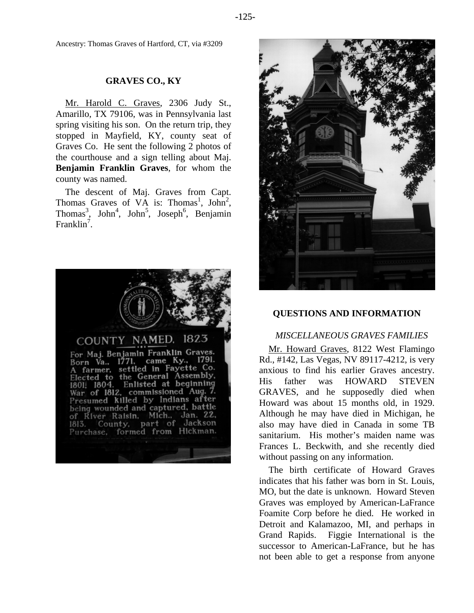Ancestry: Thomas Graves of Hartford, CT, via #3209

## **GRAVES CO., KY**

Mr. Harold C. Graves, 2306 Judy St., Amarillo, TX 79106, was in Pennsylvania last spring visiting his son. On the return trip, they stopped in Mayfield, KY, county seat of Graves Co. He sent the following 2 photos of the courthouse and a sign telling about Maj. **Benjamin Franklin Graves**, for whom the county was named.

The descent of Maj. Graves from Capt. Thomas Graves of VA is: Thomas<sup>1</sup>, John<sup>2</sup>, Thomas<sup>3</sup>, John<sup>4</sup>, John<sup>5</sup>, Joseph<sup>6</sup>, Benjamin Franklin<sup>7</sup>.





## **QUESTIONS AND INFORMATION**

#### *MISCELLANEOUS GRAVES FAMILIES*

Mr. Howard Graves, 8122 West Flamingo Rd., #142, Las Vegas, NV 89117-4212, is very anxious to find his earlier Graves ancestry. His father was HOWARD STEVEN GRAVES, and he supposedly died when Howard was about 15 months old, in 1929. Although he may have died in Michigan, he also may have died in Canada in some TB sanitarium. His mother's maiden name was Frances L. Beckwith, and she recently died without passing on any information.

The birth certificate of Howard Graves indicates that his father was born in St. Louis, MO, but the date is unknown. Howard Steven Graves was employed by American-LaFrance Foamite Corp before he died. He worked in Detroit and Kalamazoo, MI, and perhaps in Grand Rapids. Figgie International is the successor to American-LaFrance, but he has not been able to get a response from anyone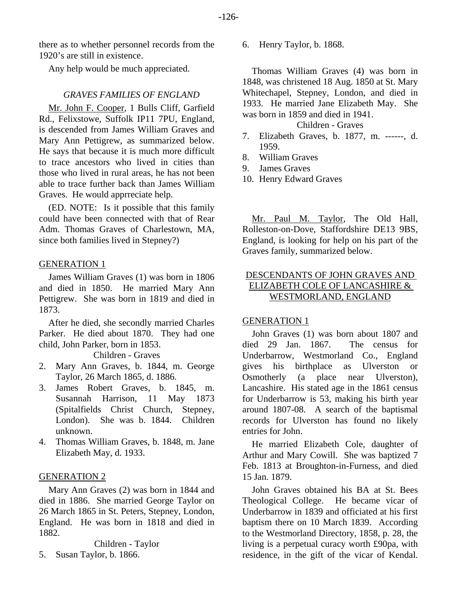there as to whether personnel records from the 1920's are still in existence.

Any help would be much appreciated.

## *GRAVES FAMILIES OF ENGLAND*

Mr. John F. Cooper, 1 Bulls Cliff, Garfield Rd., Felixstowe, Suffolk IP11 7PU, England, is descended from James William Graves and Mary Ann Pettigrew, as summarized below. He says that because it is much more difficult to trace ancestors who lived in cities than those who lived in rural areas, he has not been able to trace further back than James William Graves. He would apprreciate help.

(ED. NOTE: Is it possible that this family could have been connected with that of Rear Adm. Thomas Graves of Charlestown, MA, since both families lived in Stepney?)

## GENERATION 1

James William Graves (1) was born in 1806 and died in 1850. He married Mary Ann Pettigrew. She was born in 1819 and died in 1873.

After he died, she secondly married Charles Parker. He died about 1870. They had one child, John Parker, born in 1853.

Children - Graves

- 2. Mary Ann Graves, b. 1844, m. George Taylor, 26 March 1865, d. 1886.
- 3. James Robert Graves, b. 1845, m. Susannah Harrison, 11 May 1873 (Spitalfields Christ Church, Stepney, London). She was b. 1844. Children unknown.
- 4. Thomas William Graves, b. 1848, m. Jane Elizabeth May, d. 1933.

## GENERATION 2

Mary Ann Graves (2) was born in 1844 and died in 1886. She married George Taylor on 26 March 1865 in St. Peters, Stepney, London, England. He was born in 1818 and died in 1882.

Children - Taylor

5. Susan Taylor, b. 1866.

6. Henry Taylor, b. 1868.

Thomas William Graves (4) was born in 1848, was christened 18 Aug. 1850 at St. Mary Whitechapel, Stepney, London, and died in 1933. He married Jane Elizabeth May. She was born in 1859 and died in 1941.

Children - Graves

- 7. Elizabeth Graves, b. 1877, m. ------, d. 1959.
- 8. William Graves
- 9. James Graves
- 10. Henry Edward Graves

Mr. Paul M. Taylor, The Old Hall, Rolleston-on-Dove, Staffordshire DE13 9BS, England, is looking for help on his part of the Graves family, summarized below.

# DESCENDANTS OF JOHN GRAVES AND ELIZABETH COLE OF LANCASHIRE & WESTMORLAND, ENGLAND

## GENERATION 1

John Graves (1) was born about 1807 and died 29 Jan. 1867. The census for Underbarrow, Westmorland Co., England gives his birthplace as Ulverston or Osmotherly (a place near Ulverston), Lancashire. His stated age in the 1861 census for Underbarrow is 53, making his birth year around 1807-08. A search of the baptismal records for Ulverston has found no likely entries for John.

He married Elizabeth Cole, daughter of Arthur and Mary Cowill. She was baptized 7 Feb. 1813 at Broughton-in-Furness, and died 15 Jan. 1879.

John Graves obtained his BA at St. Bees Theological College. He became vicar of Underbarrow in 1839 and officiated at his first baptism there on 10 March 1839. According to the Westmorland Directory, 1858, p. 28, the living is a perpetual curacy worth £90pa, with residence, in the gift of the vicar of Kendal.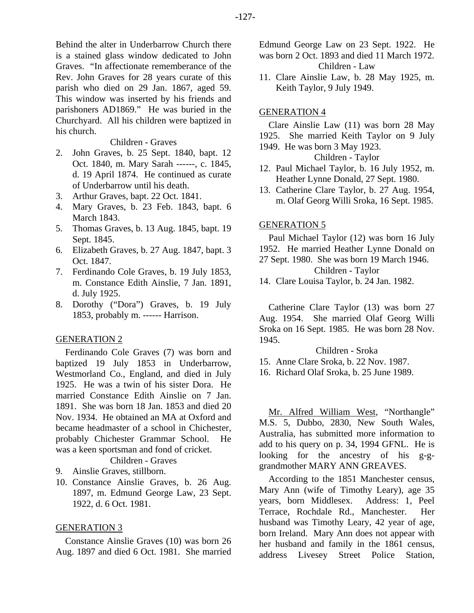Behind the alter in Underbarrow Church there is a stained glass window dedicated to John Graves. "In affectionate rememberance of the Rev. John Graves for 28 years curate of this parish who died on 29 Jan. 1867, aged 59. This window was inserted by his friends and parishoners AD1869." He was buried in the Churchyard. All his children were baptized in his church.

#### Children - Graves

- 2. John Graves, b. 25 Sept. 1840, bapt. 12 Oct. 1840, m. Mary Sarah ------, c. 1845, d. 19 April 1874. He continued as curate of Underbarrow until his death.
- 3. Arthur Graves, bapt. 22 Oct. 1841.
- 4. Mary Graves, b. 23 Feb. 1843, bapt. 6 March 1843.
- 5. Thomas Graves, b. 13 Aug. 1845, bapt. 19 Sept. 1845.
- 6. Elizabeth Graves, b. 27 Aug. 1847, bapt. 3 Oct. 1847.
- 7. Ferdinando Cole Graves, b. 19 July 1853, m. Constance Edith Ainslie, 7 Jan. 1891, d. July 1925.
- 8. Dorothy ("Dora") Graves, b. 19 July 1853, probably m. ------ Harrison.

## GENERATION 2

Ferdinando Cole Graves (7) was born and baptized 19 July 1853 in Underbarrow, Westmorland Co., England, and died in July 1925. He was a twin of his sister Dora. He married Constance Edith Ainslie on 7 Jan. 1891. She was born 18 Jan. 1853 and died 20 Nov. 1934. He obtained an MA at Oxford and became headmaster of a school in Chichester, probably Chichester Grammar School. He was a keen sportsman and fond of cricket.

# Children - Graves

- 9. Ainslie Graves, stillborn.
- 10. Constance Ainslie Graves, b. 26 Aug. 1897, m. Edmund George Law, 23 Sept. 1922, d. 6 Oct. 1981.

#### GENERATION 3

Constance Ainslie Graves (10) was born 26 Aug. 1897 and died 6 Oct. 1981. She married Edmund George Law on 23 Sept. 1922. He was born 2 Oct. 1893 and died 11 March 1972. Children - Law

11. Clare Ainslie Law, b. 28 May 1925, m. Keith Taylor, 9 July 1949.

## GENERATION 4

## Clare Ainslie Law (11) was born 28 May 1925. She married Keith Taylor on 9 July 1949. He was born 3 May 1923.

## Children - Taylor

- 12. Paul Michael Taylor, b. 16 July 1952, m. Heather Lynne Donald, 27 Sept. 1980.
- 13. Catherine Clare Taylor, b. 27 Aug. 1954, m. Olaf Georg Willi Sroka, 16 Sept. 1985.

#### GENERATION 5

Paul Michael Taylor (12) was born 16 July 1952. He married Heather Lynne Donald on 27 Sept. 1980. She was born 19 March 1946.

Children - Taylor

14. Clare Louisa Taylor, b. 24 Jan. 1982.

Catherine Clare Taylor (13) was born 27 Aug. 1954. She married Olaf Georg Willi Sroka on 16 Sept. 1985. He was born 28 Nov. 1945.

Children - Sroka

- 15. Anne Clare Sroka, b. 22 Nov. 1987.
- 16. Richard Olaf Sroka, b. 25 June 1989.

Mr. Alfred William West, "Northangle" M.S. 5, Dubbo, 2830, New South Wales, Australia, has submitted more information to add to his query on p. 34, 1994 GFNL. He is looking for the ancestry of his g-ggrandmother MARY ANN GREAVES.

According to the 1851 Manchester census, Mary Ann (wife of Timothy Leary), age 35 years, born Middlesex. Address: 1, Peel Terrace, Rochdale Rd., Manchester. Her husband was Timothy Leary, 42 year of age, born Ireland. Mary Ann does not appear with her husband and family in the 1861 census, address Livesey Street Police Station,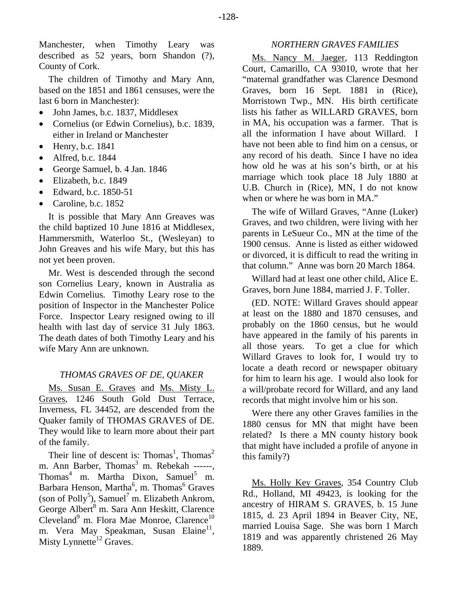Manchester, when Timothy Leary was described as 52 years, born Shandon (?), County of Cork.

The children of Timothy and Mary Ann, based on the 1851 and 1861 censuses, were the last 6 born in Manchester):

- John James, b.c. 1837, Middlesex
- Cornelius (or Edwin Cornelius), b.c. 1839, either in Ireland or Manchester
- $\bullet$  Henry, b.c. 1841
- Alfred, b.c. 1844
- George Samuel, b. 4 Jan. 1846
- Elizabeth, b.c. 1849
- Edward, b.c. 1850-51
- Caroline, b.c. 1852

It is possible that Mary Ann Greaves was the child baptized 10 June 1816 at Middlesex, Hammersmith, Waterloo St., (Wesleyan) to John Greaves and his wife Mary, but this has not yet been proven.

Mr. West is descended through the second son Cornelius Leary, known in Australia as Edwin Cornelius. Timothy Leary rose to the position of Inspector in the Manchester Police Force. Inspector Leary resigned owing to ill health with last day of service 31 July 1863. The death dates of both Timothy Leary and his wife Mary Ann are unknown.

## *THOMAS GRAVES OF DE, QUAKER*

Ms. Susan E. Graves and Ms. Misty L. Graves, 1246 South Gold Dust Terrace, Inverness, FL 34452, are descended from the Quaker family of THOMAS GRAVES of DE. They would like to learn more about their part of the family.

Their line of descent is: Thomas<sup>1</sup>, Thomas<sup>2</sup> m. Ann Barber, Thomas<sup>3</sup> m. Rebekah ------, Thomas<sup>4</sup> m. Martha Dixon, Samuel<sup>5</sup> m. Barbara Henson, Martha<sup>6</sup>, m. Thomas<sup>6</sup> Graves (son of Polly<sup>5</sup>), Samuel<sup>7</sup> m. Elizabeth Ankrom, George Albert<sup>8</sup> m. Sara Ann Heskitt, Clarence Cleveland<sup>9</sup> m. Flora Mae Monroe, Clarence<sup>10</sup> m. Vera May Speakman, Susan Elaine<sup>11</sup>, Misty Lynnette<sup>12</sup> Graves.

## *NORTHERN GRAVES FAMILIES*

Ms. Nancy M. Jaeger, 113 Reddington Court, Camarillo, CA 93010, wrote that her "maternal grandfather was Clarence Desmond Graves, born 16 Sept. 1881 in (Rice), Morristown Twp., MN. His birth certificate lists his father as WILLARD GRAVES, born in MA, his occupation was a farmer. That is all the information I have about Willard. I have not been able to find him on a census, or any record of his death. Since I have no idea how old he was at his son's birth, or at his marriage which took place 18 July 1880 at U.B. Church in (Rice), MN, I do not know when or where he was born in MA."

The wife of Willard Graves, "Anne (Luker) Graves, and two children, were living with her parents in LeSueur Co., MN at the time of the 1900 census. Anne is listed as either widowed or divorced, it is difficult to read the writing in that column." Anne was born 20 March 1864.

Willard had at least one other child, Alice E. Graves, born June 1884, married J. F. Toller.

(ED. NOTE: Willard Graves should appear at least on the 1880 and 1870 censuses, and probably on the 1860 census, but he would have appeared in the family of his parents in all those years. To get a clue for which Willard Graves to look for, I would try to locate a death record or newspaper obituary for him to learn his age. I would also look for a will/probate record for Willard, and any land records that might involve him or his son.

Were there any other Graves families in the 1880 census for MN that might have been related? Is there a MN county history book that might have included a profile of anyone in this family?)

Ms. Holly Key Graves, 354 Country Club Rd., Holland, MI 49423, is looking for the ancestry of HIRAM S. GRAVES, b. 15 June 1815, d. 23 April 1894 in Beaver City, NE, married Louisa Sage. She was born 1 March 1819 and was apparently christened 26 May 1889.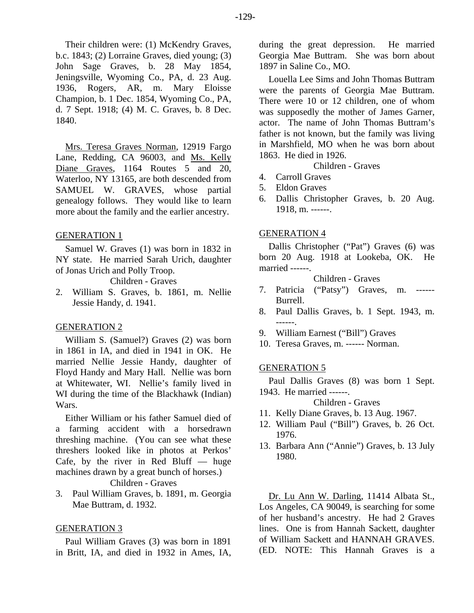Their children were: (1) McKendry Graves, b.c. 1843; (2) Lorraine Graves, died young; (3) John Sage Graves, b. 28 May 1854, Jeningsville, Wyoming Co., PA, d. 23 Aug. 1936, Rogers, AR, m. Mary Eloisse Champion, b. 1 Dec. 1854, Wyoming Co., PA, d. 7 Sept. 1918; (4) M. C. Graves, b. 8 Dec. 1840.

Mrs. Teresa Graves Norman, 12919 Fargo Lane, Redding, CA 96003, and Ms. Kelly Diane Graves, 1164 Routes 5 and 20, Waterloo, NY 13165, are both descended from SAMUEL W. GRAVES, whose partial genealogy follows. They would like to learn more about the family and the earlier ancestry.

## GENERATION 1

Samuel W. Graves (1) was born in 1832 in NY state. He married Sarah Urich, daughter of Jonas Urich and Polly Troop.

Children - Graves

2. William S. Graves, b. 1861, m. Nellie Jessie Handy, d. 1941.

## GENERATION 2

William S. (Samuel?) Graves (2) was born in 1861 in IA, and died in 1941 in OK. He married Nellie Jessie Handy, daughter of Floyd Handy and Mary Hall. Nellie was born at Whitewater, WI. Nellie's family lived in WI during the time of the Blackhawk (Indian) Wars.

Either William or his father Samuel died of a farming accident with a horsedrawn threshing machine. (You can see what these threshers looked like in photos at Perkos' Cafe, by the river in Red Bluff  $-$  huge machines drawn by a great bunch of horses.) Children - Graves

3. Paul William Graves, b. 1891, m. Georgia Mae Buttram, d. 1932.

## GENERATION 3

Paul William Graves (3) was born in 1891 in Britt, IA, and died in 1932 in Ames, IA, during the great depression. He married Georgia Mae Buttram. She was born about 1897 in Saline Co., MO.

Louella Lee Sims and John Thomas Buttram were the parents of Georgia Mae Buttram. There were 10 or 12 children, one of whom was supposedly the mother of James Garner, actor. The name of John Thomas Buttram's father is not known, but the family was living in Marshfield, MO when he was born about 1863. He died in 1926.

Children - Graves

- 4. Carroll Graves
- 5. Eldon Graves
- 6. Dallis Christopher Graves, b. 20 Aug. 1918, m. ------.

#### GENERATION 4

Dallis Christopher ("Pat") Graves (6) was born 20 Aug. 1918 at Lookeba, OK. He married ------.

Children - Graves

- 7. Patricia ("Patsy") Graves, m. ------ Burrell.
- 8. Paul Dallis Graves, b. 1 Sept. 1943, m. ------.
- 9. William Earnest ("Bill") Graves
- 10. Teresa Graves, m. ------ Norman.

#### GENERATION 5

Paul Dallis Graves (8) was born 1 Sept. 1943. He married ------.

Children - Graves

- 11. Kelly Diane Graves, b. 13 Aug. 1967.
- 12. William Paul ("Bill") Graves, b. 26 Oct. 1976.
- 13. Barbara Ann ("Annie") Graves, b. 13 July 1980.

Dr. Lu Ann W. Darling, 11414 Albata St., Los Angeles, CA 90049, is searching for some of her husband's ancestry. He had 2 Graves lines. One is from Hannah Sackett, daughter of William Sackett and HANNAH GRAVES. (ED. NOTE: This Hannah Graves is a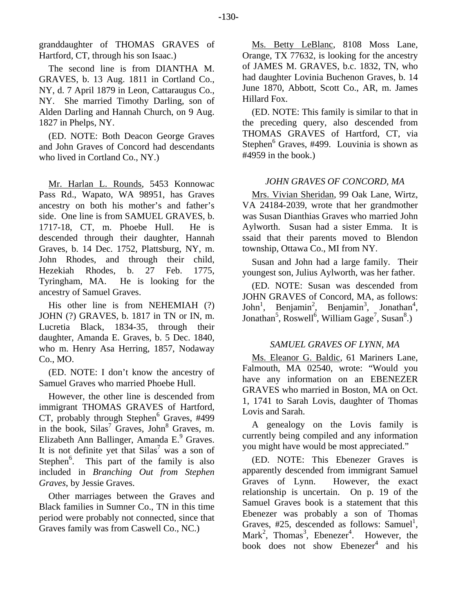granddaughter of THOMAS GRAVES of Hartford, CT, through his son Isaac.)

The second line is from DIANTHA M. GRAVES, b. 13 Aug. 1811 in Cortland Co., NY, d. 7 April 1879 in Leon, Cattaraugus Co., NY. She married Timothy Darling, son of Alden Darling and Hannah Church, on 9 Aug. 1827 in Phelps, NY.

(ED. NOTE: Both Deacon George Graves and John Graves of Concord had descendants who lived in Cortland Co., NY.)

Mr. Harlan L. Rounds, 5453 Konnowac Pass Rd., Wapato, WA 98951, has Graves ancestry on both his mother's and father's side. One line is from SAMUEL GRAVES, b. 1717-18, CT, m. Phoebe Hull. He is descended through their daughter, Hannah Graves, b. 14 Dec. 1752, Plattsburg, NY, m. John Rhodes, and through their child, Hezekiah Rhodes, b. 27 Feb. 1775, Tyringham, MA. He is looking for the ancestry of Samuel Graves.

His other line is from NEHEMIAH (?) JOHN (?) GRAVES, b. 1817 in TN or IN, m. Lucretia Black, 1834-35, through their daughter, Amanda E. Graves, b. 5 Dec. 1840, who m. Henry Asa Herring, 1857, Nodaway Co., MO.

(ED. NOTE: I don't know the ancestry of Samuel Graves who married Phoebe Hull.

However, the other line is descended from immigrant THOMAS GRAVES of Hartford,  $CT$ , probably through Stephen $^6$  Graves, #499 in the book,  $Silas<sup>7</sup>$  Graves, John<sup>8</sup> Graves, m. Elizabeth Ann Ballinger, Amanda E. $9$  Graves. It is not definite yet that  $Silas^7$  was a son of Stephen<sup>6</sup>. This part of the family is also included in *Branching Out from Stephen Graves*, by Jessie Graves.

Other marriages between the Graves and Black families in Sumner Co., TN in this time period were probably not connected, since that Graves family was from Caswell Co., NC.)

Ms. Betty LeBlanc, 8108 Moss Lane, Orange, TX 77632, is looking for the ancestry of JAMES M. GRAVES, b.c. 1832, TN, who had daughter Lovinia Buchenon Graves, b. 14 June 1870, Abbott, Scott Co., AR, m. James Hillard Fox.

(ED. NOTE: This family is similar to that in the preceding query, also descended from THOMAS GRAVES of Hartford, CT, via Stephen<sup>6</sup> Graves, #499. Louvinia is shown as #4959 in the book.)

## *JOHN GRAVES OF CONCORD, MA*

Mrs. Vivian Sheridan, 99 Oak Lane, Wirtz, VA 24184-2039, wrote that her grandmother was Susan Dianthias Graves who married John Aylworth. Susan had a sister Emma. It is ssaid that their parents moved to Blendon township, Ottawa Co., MI from NY.

Susan and John had a large family. Their youngest son, Julius Aylworth, was her father.

(ED. NOTE: Susan was descended from JOHN GRAVES of Concord, MA, as follows: John<sup>1</sup>, Benjamin<sup>2</sup>, Benjamin<sup>3</sup>, Jonathan<sup>4</sup>, Jonathan<sup>5</sup>, Roswell<sup>6</sup>, William Gage<sup>7</sup>, Susan<sup>8</sup>.)

# *SAMUEL GRAVES OF LYNN, MA*

Ms. Eleanor G. Baldic, 61 Mariners Lane, Falmouth, MA 02540, wrote: "Would you have any information on an EBENEZER GRAVES who married in Boston, MA on Oct. 1, 1741 to Sarah Lovis, daughter of Thomas Lovis and Sarah.

A genealogy on the Lovis family is currently being compiled and any information you might have would be most appreciated."

(ED. NOTE: This Ebenezer Graves is apparently descended from immigrant Samuel Graves of Lynn. However, the exact relationship is uncertain. On p. 19 of the Samuel Graves book is a statement that this Ebenezer was probably a son of Thomas Graves,  $\#25$ , descended as follows: Samuel<sup>1</sup>, Mark<sup>2</sup>, Thomas<sup>3</sup>, Ebenezer<sup>4</sup>. However, the book does not show Ebenezer<sup>4</sup> and his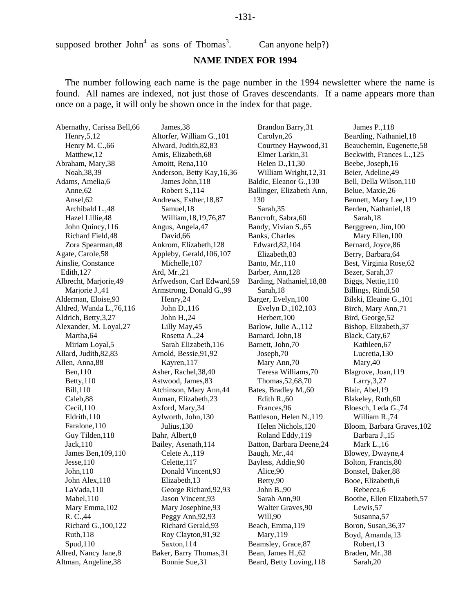#### -131-

supposed brother John<sup>4</sup> as sons of Thomas<sup>3</sup>

#### **NAME INDEX FOR 1994**

. Can anyone help?)

The number following each name is the page number in the 1994 newsletter where the name is found. All names are indexed, not just those of Graves descendants. If a name appears more than once on a page, it will only be shown once in the index for that page.

Abernathy, Carissa Bell,66 Henry,5,12 Henry M. C.,66 Matthew,12 Abraham, Mary,38 Noah,38,39 Adams, Amelia,6 Anne,62 Ansel,62 Archibald L.,48 Hazel Lillie,48 John Quincy,116 Richard Field,48 Zora Spearman,48 Agate, Carole,58 Ainslie, Constance Edith,127 Albrecht, Marjorie,49 Marjorie J.,41 Alderman, Eloise,93 Aldred, Wanda L.,76,116 Aldrich, Betty,3,27 Alexander, M. Loyal,27 Martha,64 Miriam Loyal,5 Allard, Judith,82,83 Allen, Anna,88 Ben,110 Betty,110 Bill,110 Caleb,88 Cecil,110 Eldrith,110 Faralone,110 Guy Tilden,118 Jack,110 James Ben,109,110 Jesse,110 John,110 John Alex,118 LaVada,110 Mabel,110 Mary Emma,102 R. C.,44 Richard G.,100,122 Ruth,118 Spud,110 Allred, Nancy Jane,8 Altman, Angeline,38

James,38 Altorfer, William G.,101 Alward, Judith,82,83 Amis, Elizabeth,68 Amoitt, Rena,110 Anderson, Betty Kay,16,36 James John,118 Robert S.,114 Andrews, Esther,18,87 Samuel,18 William,18,19,76,87 Angus, Angela,47 David,66 Ankrom, Elizabeth,128 Appleby, Gerald,106,107 Michelle,107 Ard, Mr.,21 Arfwedson, Carl Edward,59 Armstrong, Donald G.,99 Henry,24 John D.,116 John H.,24 Lilly May,45 Rosetta A.,24 Sarah Elizabeth,116 Arnold, Bessie,91,92 Kayren,117 Asher, Rachel,38,40 Astwood, James,83 Atchinson, Mary Ann,44 Auman, Elizabeth,23 Axford, Mary,34 Aylworth, John,130 Julius,130 Bahr, Albert,8 Bailey, Asenath,114 Celete A.,119 Celette,117 Donald Vincent,93 Elizabeth,13 George Richard,92,93 Jason Vincent,93 Mary Josephine,93 Peggy Ann, 92, 93 Richard Gerald,93 Roy Clayton,91,92 Saxton,114 Baker, Barry Thomas,31 Bonnie Sue,31

Brandon Barry,31 Carolyn,26 Courtney Haywood,31 Elmer Larkin,31 Helen D.,11,30 William Wright,12,31 Baldic, Eleanor G.,130 Ballinger, Elizabeth Ann, 130 Sarah,35 Bancroft, Sabra,60 Bandy, Vivian S.,65 Banks, Charles Edward,82,104 Elizabeth,83 Banto, Mr.,110 Barber, Ann,128 Barding, Nathaniel,18,88 Sarah,18 Barger, Evelyn,100 Evelyn D.,102,103 Herbert,100 Barlow, Julie A.,112 Barnard, John,18 Barnett, John,70 Joseph,70 Mary Ann,70 Teresa Williams,70 Thomas,52,68,70 Bates, Bradley M.,60 Edith R.,60 Frances,96 Battleson, Helen N.,119 Helen Nichols,120 Roland Eddy,119 Batton, Barbara Deene,24 Baugh, Mr.,44 Bayless, Addie,90 Alice,90 Betty,90 John B.,90 Sarah Ann,90 Walter Graves,90 Will,90 Beach, Emma,119 Mary,119 Beamsley, Grace,87 Bean, James H.,62 Beard, Betty Loving,118

James P.,118 Bearding, Nathaniel,18 Beauchemin, Eugenette,58 Beckwith, Frances L.,125 Beebe, Joseph,16 Beier, Adeline,49 Bell, Della Wilson,110 Belue, Maxie,26 Bennett, Mary Lee,119 Berden, Nathaniel,18 Sarah,18 Berggreen, Jim,100 Mary Ellen,100 Bernard, Joyce,86 Berry, Barbara,64 Best, Virginia Rose,62 Bezer, Sarah,37 Biggs, Nettie,110 Billings, Rindi,50 Bilski, Eleaine G.,101 Birch, Mary Ann,71 Bird, George,52 Bishop, Elizabeth,37 Black, Caty,67 Kathleen,67 Lucretia,130 Mary,40 Blagrove, Joan,119 Larry,3,27 Blair, Abel,19 Blakeley, Ruth,60 Bloesch, Leda G.,74 William R.,74 Bloom, Barbara Graves,102 Barbara J.,15 Mark L.,16 Blowey, Dwayne,4 Bolton, Francis,80 Bonstel, Baker,88 Booe, Elizabeth,6 Rebecca,6 Boothe, Ellen Elizabeth,57 Lewis,57 Susanna,57 Boron, Susan,36,37 Boyd, Amanda,13 Robert,13 Braden, Mr.,38 Sarah,20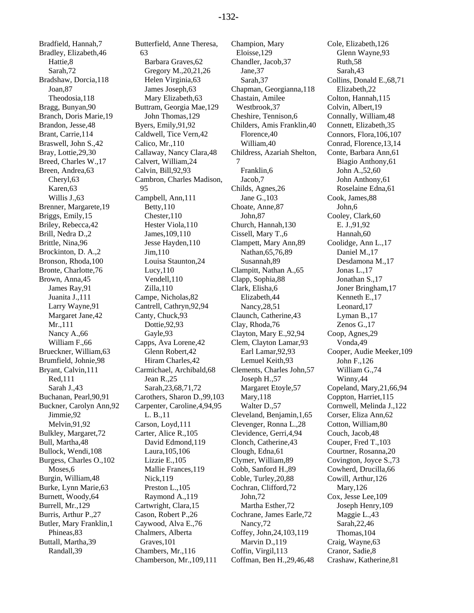Bradfield, Hannah,7 Bradley, Elizabeth,46 Hattie,8 Sarah,72 Bradshaw, Dorcia,118 Joan,87 Theodosia,118 Bragg, Bunyan,90 Branch, Doris Marie,19 Brandon, Jesse,48 Brant, Carrie,114 Braswell, John S.,42 Bray, Lottie,29,30 Breed, Charles W.,17 Breen, Andrea,63 Cheryl,63 Karen,63 Willis J.,63 Brenner, Margarete,19 Briggs, Emily,15 Briley, Rebecca,42 Brill, Nedra D.,2 Brittle, Nina,96 Brockinton, D. A.,2 Bronson, Rhoda,100 Bronte, Charlotte,76 Brown, Anna,45 James Ray,91 Juanita J.,111 Larry Wayne,91 Margaret Jane,42 Mr.,111 Nancy A.,66 William F.,66 Brueckner, William,63 Brumfield, Johnie,98 Bryant, Calvin,111 Red,111 Sarah J.,43 Buchanan, Pearl,90,91 Buckner, Carolyn Ann,92 Jimmie,92 Melvin,91,92 Bulkley, Margaret,72 Bull, Martha,48 Bullock, Wendi,108 Burgess, Charles O.,102 Moses,6 Burgin, William,48 Burke, Lynn Marie,63 Burnett, Woody,64 Burrell, Mr.,129 Burris, Arthur P.,27 Butler, Mary Franklin,1 Phineas,83 Buttall, Martha,39 Randall,39

Butterfield, Anne Theresa, 63 Barbara Graves,62 Gregory M.,20,21,26 Helen Virginia,63 James Joseph,63 Mary Elizabeth,63 Buttram, Georgia Mae,129 John Thomas,129 Byers, Emily,91,92 Caldwell, Tice Vern,42 Calico, Mr.,110 Callaway, Nancy Clara,48 Calvert, William,24 Calvin, Bill,92,93 Cambron, Charles Madison, 95 Campbell, Ann,111 Betty,110 Chester,110 Hester Viola,110 James,109,110 Jesse Hayden,110 Jim,110 Louisa Staunton,24 Lucy,110 Vendell,110 Zilla,110 Campe, Nicholas,82 Cantrell, Cathryn,92,94 Canty, Chuck,93 Dottie,92,93 Gayle,93 Capps, Ava Lorene,42 Glenn Robert,42 Hiram Charles,42 Carmichael, Archibald,68 Jean R.,25 Sarah,23,68,71,72 Carothers, Sharon D.,99,103 Carpenter, Caroline,4,94,95 L. B.,11 Carson, Loyd,111 Carter, Alice R.,105 David Edmond,119 Laura,105,106 Lizzie E.,105 Mallie Frances,119 Nick,119 Preston L.,105 Raymond A.,119 Cartwright, Clara,15 Cason, Robert P.,26 Caywood, Alva E.,76 Chalmers, Alberta Graves,101 Chambers, Mr.,116 Chamberson, Mr.,109,111

Champion, Mary Eloisse,129 Chandler, Jacob,37 Jane,37 Sarah,37 Chapman, Georgianna,118 Chastain, Amilee Westbrook,37 Cheshire, Tennison,6 Childers, Amis Franklin,40 Florence,40 William,40 Childress, Azariah Shelton, 7 Franklin,6 Jacob,7 Childs, Agnes,26 Jane G.,103 Choate, Anne,87 John,87 Church, Hannah,130 Cissell, Mary T.,6 Clampett, Mary Ann,89 Nathan,65,76,89 Susannah,89 Clampitt, Nathan A.,65 Clapp, Sophia,88 Clark, Elisha,6 Elizabeth,44 Nancy,28,51 Claunch, Catherine,43 Clay, Rhoda,76 Clayton, Mary E.,92,94 Clem, Clayton Lamar,93 Earl Lamar,92,93 Lemuel Keith,93 Clements, Charles John,57 Joseph H.,57 Margaret Etoyle,57 Mary,118 Walter D.,57 Cleveland, Benjamin,1,65 Clevenger, Ronna L.,28 Clevidence, Gerri,4,94 Clonch, Catherine,43 Clough, Edna,61 Clymer, William,89 Cobb, Sanford H.,89 Coble, Turley,20,88 Cochran, Clifford,72 John,72 Martha Esther,72 Cochrane, James Earle,72 Nancy,72 Coffey, John,24,103,119 Marvin D.,119 Coffin, Virgil,113 Coffman, Ben H.,29,46,48

Cole, Elizabeth,126 Glenn Wayne,93 Ruth,58 Sarah,43 Collins, Donald E.,68,71 Elizabeth,22 Colton, Hannah,115 Colvin, Albert,19 Connally, William,48 Connett, Elizabeth,35 Connors, Flora,106,107 Conrad, Florence,13,14 Conte, Barbara Ann,61 Biagio Anthony,61 John A.,52,60 John Anthony,61 Roselaine Edna,61 Cook, James,88 John,6 Cooley, Clark,60 E. J.,91,92 Hannah,60 Coolidge, Ann L.,17 Daniel M.,17 Desdamona M.,17 Jonas L.,17 Jonathan S.,17 Joner Bringham,17 Kenneth E.,17 Leonard,17 Lyman B.,17 Zenos G.,17 Coop, Agnes,29 Vonda,49 Cooper, Audie Meeker,109 John F.,126 William G.,74 Winny,44 Copeland, Mary,21,66,94 Coppton, Harriet,115 Cornwell, Melinda J.,122 Corser, Eliza Ann,62 Cotton, William,80 Couch, Jacob,48 Couper, Fred T.,103 Courtner, Rosanna,20 Covington, Joyce S.,73 Cowherd, Drucilla,66 Cowill, Arthur,126 Mary,126 Cox, Jesse Lee,109 Joseph Henry,109 Maggie L.,43 Sarah,22,46 Thomas,104 Craig, Wayne,63 Cranor, Sadie,8 Crashaw, Katherine,81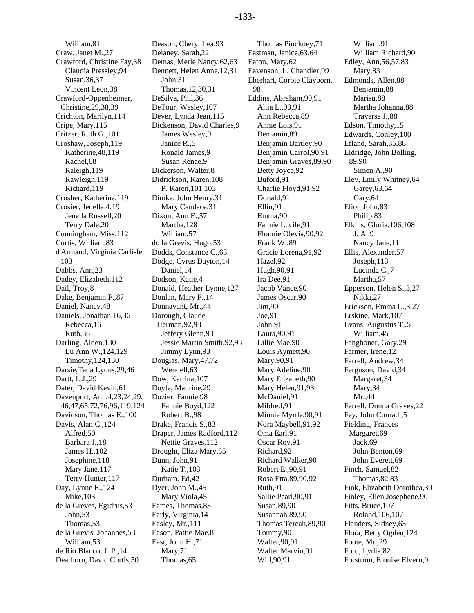William,81 Craw, Janet M.,27 Crawford, Christine Fay,38 Claudia Pressley,94 Susan,36,37 Vincent Leon,38 Crawford-Oppenheimer, Christine,29,38,39 Crichton, Marilyn,114 Cripe, Mary,115 Critzer, Ruth G.,101 Croshaw, Joseph,119 Katherine,48,119 Rachel,68 Raleigh,119 Rawleigh,119 Richard,119 Crosher, Katherine,119 Crosier, Jenella,4,19 Jenella Russell,20 Terry Dale,20 Cunningham, Miss,112 Curtis, William,83 d'Armand, Virginia Carlisle, 103 Dabbs, Ann,23 Dadey, Elizabeth,112 Dail, Troy,8 Dake, Benjamin F.,87 Daniel, Nancy,48 Daniels, Jonathan,16,36 Rebecca,16 Ruth,36 Darling, Alden,130 Lu Ann W.,124,129 Timothy,124,130 Darsie,Tada Lyons,29,46 Dartt, I. J.,29 Dater, David Kevin,61 Davenport, Ann,4,23,24,29, 46,47,65,72,76,96,119,124 Davidson, Thomas E.,100 Davis, Alan C.,124 Alfred,50 Barbara J.,18 James H.,102 Josephine,118 Mary Jane,117 Terry Hunter,117 Day, Lynne E.,124 Mike,103 de la Greves, Egidrus,53 John,53 Thomas,53 de la Grevis, Johannes,53 William,53 de Rio Blanco, J. P.,14 Dearborn, David Curtis,50

Deason, Cheryl Lea,93 Delaney, Sarah,22 Demas, Merle Nancy,62,63 Dennett, Helen Anne,12,31 John,31 Thomas,12,30,31 DeSilva, Phil,36 DeTour, Wesley,107 Dever, Lynda Jean,115 Dickenson, David Charles,9 James Wesley,9 Janice R.,5 Ronald James,9 Susan Renae,9 Dickerson, Walter,8 Didrickson, Karen,108 P. Karen,101,103 Dimke, John Henry,31 Mary Candace,31 Dixon, Ann E.,57 Martha,128 William,57 do la Grevis, Hugo,53 Dodds, Constance C.,63 Dodge, Cyrus Dayton,14 Daniel,14 Dodson, Katie,4 Donald, Heather Lynne,127 Donlan, Mary F.,14 Donnavant, Mr.,44 Dorough, Claude Herman,92,93 Jeffery Glenn,93 Jessie Martin Smith,92,93 Jimmy Lynn,93 Douglas, Mary,47,72 Wendell,63 Dow, Katrina,107 Doyle, Maurine,29 Dozier, Fannie,98 Fannie Boyd,122 Robert B.,98 Drake, Francis S.,83 Draper, James Radford,112 Nettie Graves,112 Drought, Eliza Mary,55 Dunn, John,91 Katie T.,103 Durham, Ed,42 Dyer, John M.,45 Mary Viola,45 Eames, Thomas,83 Early, Virginia,14 Easley, Mr.,111 Eason, Pattie Mae,8 East, John H.,71 Mary,71 Thomas,65

Thomas Pinckney,71 Eastman, Janice,63,64 Eaton, Mary,62 Eavenson, L. Chandler,99 Eberhart, Corbie Clayborn, 98 Eddins, Abraham,90,91 Altia L.,90,91 Ann Rebecca,89 Annie Lois,91 Benjamin,89 Benjamin Bartley,90 Benjamin Carrol,90,91 Benjamin Graves,89,90 Betty Joyce,92 Buford,91 Charlie Floyd,91,92 Donald,91 Ellin,91 Emma,90 Fannie Lucile,91 Flonnie Olevia,90,92 Frank W.,89 Gracie Lorena,91,92 Hazel,92 Hugh,90,91 Ira Dee,91 Jacob Vance,90 James Oscar,90 Jim,90 Joe,91 John,91 Laura,90,91 Lillie Mae,90 Louis Aymett,90 Mary,90,91 Mary Adeline,90 Mary Elizabeth,90 Mary Helen,91,93 McDaniel,91 Mildred,91 Minnie Myrtle,90,91 Nora Maybell,91,92 Oma Earl,91 Oscar Roy,91 Richard,92 Richard Walker,90 Robert E.,90,91 Rosa Etta,89,90,92 Ruth,91 Sallie Pearl,90,91 Susan,89,90 Susannah,89,90 Thomas Tereah,89,90 Tommy,90 Walter,90,91 Walter Marvin,91 Will,90,91

William,91 William Richard,90 Edley, Ann,56,57,83 Mary,83 Edmonds, Allen,88 Benjamin,88 Marisu,88 Martha Johanna,88 Traverse J.,88 Edson, Timothy,15 Edwards, Conley,100 Efland, Sarah,35,88 Eldridge, John Bolling, 89,90 Simen A.,90 Eley, Emily Whitney,64 Garey,63,64 Gary,64 Eliot, John,83 Philip,83 Elkins, Gloria,106,108 J. A.,9 Nancy Jane,11 Ellis, Alexander,57 Joseph,113 Lucinda C.,7 Martha,57 Epperson, Helen S.,3,27 Nikki,27 Erickson, Emma L.,3,27 Erskine, Mark,107 Evans, Augustus T.,5 William,45 Fangboner, Gary,29 Farmer, Irene,12 Farrell, Andrew,34 Ferguson, David,34 Margaret,34 Mary,34 Mr.,44 Ferrell, Donna Graves,22 Fey, John Cunradt,5 Fielding, Frances Margaret,69 Jack,69 John Benton,69 John Everett,69 Finch, Samuel,82 Thomas,82,83 Fink, Elizabeth Dorothea,30 Finley, Ellen Josephene,90 Fitts, Bruce,107 Roland,106,107 Flanders, Sidney,63 Flora, Betty Ogden,124 Foote, Mr.,29 Ford, Lydia,82 Forstrom, Elouise Elvern,9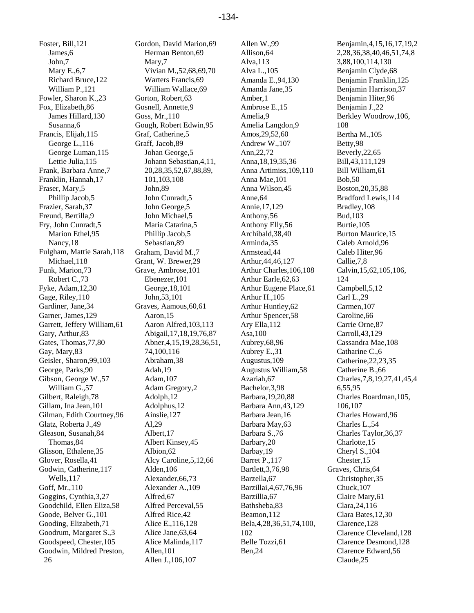Foster, Bill,121 James,6 John,7 Mary E.,6,7 Richard Bruce,122 William P.,121 Fowler, Sharon K.,23 Fox, Elizabeth,86 James Hillard,130 Susanna,6 Francis, Elijah,115 George L.,116 George Luman,115 Lettie Julia,115 Frank, Barbara Anne,7 Franklin, Hannah,17 Fraser, Mary,5 Phillip Jacob,5 Frazier, Sarah,37 Freund, Bertilla,9 Fry, John Cunradt,5 Marion Ethel,95 Nancy,18 Fulgham, Mattie Sarah,118 Michael,118 Funk, Marion,73 Robert C.,73 Fyke, Adam,12,30 Gage, Riley,110 Gardiner, Jane,34 Garner, James,129 Garrett, Jeffery William,61 Gary, Arthur,83 Gates, Thomas,77,80 Gay, Mary,83 Geisler, Sharon,99,103 George, Parks,90 Gibson, George W.,57 William G.,57 Gilbert, Raleigh,78 Gillam, Ina Jean,101 Gilman, Edith Courtney,96 Glatz, Roberta J.,49 Gleason, Susanah,84 Thomas,84 Glisson, Ethalene,35 Glover, Rosella,41 Godwin, Catherine,117 Wells,117 Goff, Mr.,110 Goggins, Cynthia,3,27 Goodchild, Ellen Eliza,58 Goode, Belver G.,101 Gooding, Elizabeth,71 Goodrum, Margaret S.,3 Goodspeed, Chester,105 Goodwin, Mildred Preston, 26

Gordon, David Marion,69 Herman Benton,69 Mary,7 Vivian M.,52,68,69,70 Warters Francis,69 William Wallace,69 Gorton, Robert,63 Gosnell, Annette,9 Goss, Mr.,110 Gough, Robert Edwin,95 Graf, Catherine,5 Graff, Jacob,89 Johan George,5 Johann Sebastian,4,11, 20,28,35,52,67,88,89, 101,103,108 John,89 John Cunradt,5 John George,5 John Michael,5 Maria Catarina,5 Phillip Jacob,5 Sebastian,89 Graham, David M.,7 Grant, W. Brewer,29 Grave, Ambrose,101 Ebenezer,101 George,18,101 John,53,101 Graves, Aamous,60,61 Aaron,15 Aaron Alfred,103,113 Abigail,17,18,19,76,87 Abner,4,15,19,28,36,51, 74,100,116 Abraham,38 Adah,19 Adam,107 Adam Gregory,2 Adolph,12 Adolphus,12 Ainslie,127 Al,29 Albert,17 Albert Kinsey,45 Albion,62 Alcy Caroline,5,12,66 Alden,106 Alexander,66,73 Alexander A.,109 Alfred,67 Alfred Perceval,55 Alfred Rice,42 Alice E.,116,128 Alice Jane,63,64 Alice Malinda,117 Allen,101 Allen J.,106,107

Allen W.,99 Allison,64 Alva,113 Alva L.,105 Amanda E.,94,130 Amanda Jane,35 Amber,1 Ambrose E.,15 Amelia,9 Amelia Langdon,9 Amos,29,52,60 Andrew W.,107 Ann,22,72 Anna,18,19,35,36 Anna Artimiss,109,110 Anna Mae,101 Anna Wilson,45 Anne,64 Annie,17,129 Anthony,56 Anthony Elly,56 Archibald,38,40 Arminda,35 Armstead,44 Arthur,44,46,127 Arthur Charles,106,108 Arthur Earle,62,63 Arthur Eugene Place,61 Arthur H.,105 Arthur Huntley,62 Arthur Spencer,58 Ary Ella,112 Asa,100 Aubrey,68,96 Aubrey E.,31 Augustus,109 Augustus William,58 Azariah,67 Bachelor,3,98 Barbara,19,20,88 Barbara Ann,43,129 Barbara Jean,16 Barbara May,63 Barbara S.,76 Barbary,20 Barbay,19 Barret P.,117 Bartlett,3,76,98 Barzella,67 Barzillai,4,67,76,96 Barzillia,67 Bathsheba,83 Beamon,112 Bela,4,28,36,51,74,100, 102 Belle Tozzi,61 Ben,24

Benjamin,4,15,16,17,19,2 2,28,36,38,40,46,51,74,8 3,88,100,114,130 Benjamin Clyde,68 Benjamin Franklin,125 Benjamin Harrison,37 Benjamin Hiter,96 Benjamin J.,22 Berkley Woodrow,106, 108 Bertha M.,105 Betty,98 Beverly,22,65 Bill,43,111,129 Bill William,61 Bob,50 Boston,20,35,88 Bradford Lewis,114 Bradley,108 Bud,103 Burtie,105 Burton Maurice,15 Caleb Arnold,96 Caleb Hiter,96 Callie,7,8 Calvin,15,62,105,106, 124 Campbell,5,12 Carl L.,29 Carmen,107 Caroline,66 Carrie Orne,87 Carroll,43,129 Cassandra Mae,108 Catharine C.,6 Catherine,22,23,35 Catherine B.,66 Charles,7,8,19,27,41,45,4 6,55,95 Charles Boardman,105, 106,107 Charles Howard,96 Charles L.,54 Charles Taylor,36,37 Charlotte,15 Cheryl S.,104 Chester,15 Graves, Chris,64 Christopher,35 Chuck,107 Claire Mary,61 Clara,24,116 Clara Bates,12,30 Clarence,128 Clarence Cleveland,128 Clarence Desmond,128 Clarence Edward,56 Claude,25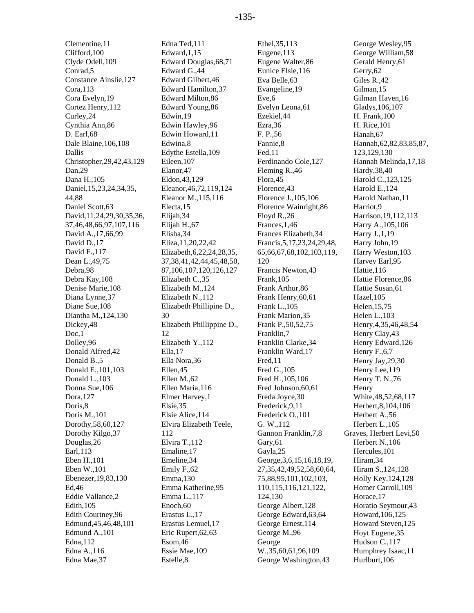Clementine,11 Clifford,100 Clyde Odell,109 Conrad,5 Constance Ainslie,127 Cora,113 Cora Evelyn,19 Cortez Henry,112 Curley,24 Cynthia Ann,86 D. Earl,68 Dale Blaine,106,108 Dallis Christopher,29,42,43,129 Dan,29 Dana H.,105 Daniel,15,23,24,34,35, 44,88 Daniel Scott,63 David,11,24,29,30,35,36, 37,46,48,66,97,107,116 David A.,17,66,99 David D.,17 David F.,117 Dean L.,49,75 Debra,98 Debra Kay,108 Denise Marie,108 Diana Lynne,37 Diane Sue,108 Diantha M.,124,130 Dickey,48 Doc,1 Dolley,96 Donald Alfred,42 Donald B.,5 Donald E.,101,103 Donald L.,103 Donna Sue,106 Dora,127 Doris,8 Doris M.,101 Dorothy,58,60,127 Dorothy Kilgo,37 Douglas,26 Earl,113 Eben H.,101 Eben W.,101 Ebenezer,19,83,130 Ed,46 Eddie Vallance,2 Edith,105 Edith Courtney,96 Edmund,45,46,48,101 Edmund A.,101 Edna,112 Edna A.,116 Edna Mae,37

Edna Ted,111 Edward,1,15 Edward Douglas,68,71 Edward G.,44 Edward Gilbert,46 Edward Hamilton,37 Edward Milton,86 Edward Young,86 Edwin,19 Edwin Hawley,96 Edwin Howard,11 Edwina,8 Edythe Estella,109 Eileen,107 Elanor,47 Eldon,43,129 Eleanor,46,72,119,124 Eleanor M.,115,116 Electa,15 Elijah,34 Elijah H.,67 Elisha,34 Eliza,11,20,22,42 Elizabeth,6,22,24,28,35, 37,38,41,42,44,45,48,50, 87,106,107,120,126,127 Elizabeth C.,35 Elizabeth M.,124 Elizabeth N.,112 Elizabeth Phillipine D., 30 Elizabeth Phillippine D., 12 Elizabeth Y.,112 Ella,17 Ella Nora,36 Ellen,45 Ellen M.,62 Ellen Maria,116 Elmer Harvey,1 Elsie,35 Elsie Alice,114 Elvira Elizabeth Teele, 112 Elvira T.,112 Emaline,17 Emeline,34 Emily F.,62 Emma,130 Emma Katherine,95 Emma L.,117 Enoch,60 Erastus L.,17 Erastus Lemuel,17 Eric Rupert,62,63 Esom,46 Essie Mae,109 Estelle,8

Ethel,35,113 Eugene,113 Eugene Walter,86 Eunice Elsie,116 Eva Belle,63 Evangeline,19 Eve,6 Evelyn Leona,61 Ezekiel,44 Ezra,36 F. P.,56 Fannie,8 Fed,11 Ferdinando Cole,127 Fleming R.,46 Flora,45 Florence,43 Florence J.,105,106 Florence Wainright,86 Floyd R.,26 Frances,1,46 Frances Elizabeth,34 Francis,5,17,23,24,29,48, 65,66,67,68,102,103,119, 120 Francis Newton,43 Frank,105 Frank Arthur,86 Frank Henry,60,61 Frank L.,105 Frank Marion,35 Frank P.,50,52,75 Franklin,7 Franklin Clarke,34 Franklin Ward,17 Fred,11 Fred G.,105 Fred H.,105,106 Fred Johnson,60,61 Freda Joyce,30 Frederick,9,11 Frederick O.,101 G. W.,112 Gannon Franklin,7,8 Gary,61 Gayla,25 George,3,6,15,16,18,19, 27,35,42,49,52,58,60,64, 75,88,95,101,102,103, 110,115,116,121,122, 124,130 George Albert,128 George Edward,63,64 George Ernest,114 George M.,96 George W.,35,60,61,96,109 George Washington,43

George Wesley,95 George William,58 Gerald Henry,61 Gerry,62 Giles R.,42 Gilman,15 Gilman Haven,16 Gladys,106,107 H. Frank,100 H. Rice,101 Hanah,67 Hannah,62,82,83,85,87, 123,129,130 Hannah Melinda,17,18 Hardy,38,40 Harold C.,123,125 Harold E.,124 Harold Nathan,11 Harriot,9 Harrison,19,112,113 Harry A.,105,106 Harry J.,1,19 Harry John,19 Harry Weston,103 Harvey Earl,95 Hattie,116 Hattie Florence,86 Hattie Susan,61 Hazel,105 Helen,15,75 Helen L.,103 Henry,4,35,46,48,54 Henry Clay,43 Henry Edward,126 Henry F.,6,7 Henry Jay,29,30 Henry Lee,119 Henry T. N.,76 Henry White,48,52,68,117 Herbert,8,104,106 Herbert A.,56 Herbert L.,105 Graves, Herbert Levi,50 Herbert N.,106 Hercules,101 Hiram,34 Hiram S.,124,128 Holly Key,124,128 Homer Carroll,109 Horace,17 Horatio Seymour,43 Howard,106,125 Howard Steven,125 Hoyt Eugene,35 Hudson C., 117 Humphrey Isaac,11 Hurlburt,106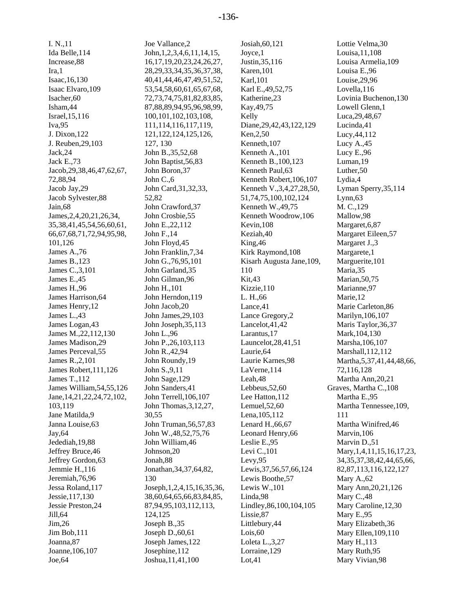I. N.,11 Ida Belle,114 Increase,88 Ira,1 Isaac,16,130 Isaac Elvaro,109 Isacher,60 Isham,44 Israel,15,116 Iva,95 J. Dixon,122 J. Reuben,29,103 Jack,24 Jack E.,73 Jacob,29,38,46,47,62,67, 72,88,94 Jacob Jay,29 Jacob Sylvester,88 Jain,68 James,2,4,20,21,26,34, 35,38,41,45,54,56,60,61, 66,67,68,71,72,94,95,98, 101,126 James A.,76 James B.,123 James C.,3,101 James E.,45 James H.,96 James Harrison,64 James Henry,12 James L.,43 James Logan,43 James M.,22,112,130 James Madison,29 James Perceval,55 James R.,2,101 James Robert,111,126 James T.,112 James William,54,55,126 Jane,14,21,22,24,72,102, 103,119 Jane Matilda,9 Janna Louise,63 Jay,64 Jedediah,19,88 Jeffrey Bruce,46 Jeffrey Gordon,63 Jemmie H.,116 Jeremiah,76,96 Jessa Roland,117 Jessie,117,130 Jessie Preston,24 Jill,64 Jim,26 Jim Bob,111 Joanna,87 Joanne,106,107 Joe,64

Joe Vallance,2 John,1,2,3,4,6,11,14,15, 16,17,19,20,23,24,26,27, 28,29,33,34,35,36,37,38, 40,41,44,46,47,49,51,52, 53,54,58,60,61,65,67,68, 72,73,74,75,81,82,83,85, 87,88,89,94,95,96,98,99, 100,101,102,103,108, 111,114,116,117,119, 121,122,124,125,126, 127, 130 John B.,35,52,68 John Baptist,56,83 John Boron,37 John C.,6 John Card,31,32,33, 52,82 John Crawford,37 John Crosbie,55 John E.,22,112 John F.,14 John Floyd,45 John Franklin,7,34 John G.,76,95,101 John Garland,35 John Gilman,96 John H.,101 John Herndon,119 John Jacob,20 John James,29,103 John Joseph,35,113 John L.,96 John P.,26,103,113 John R.,42,94 John Roundy,19 John S.,9,11 John Sage,129 John Sanders,41 John Terrell,106,107 John Thomas,3,12,27, 30,55 John Truman,56,57,83 John W.,48,52,75,76 John William,46 Johnson,20 Jonah,88 Jonathan,34,37,64,82, 130 Joseph,1,2,4,15,16,35,36, 38,60,64,65,66,83,84,85, 87,94,95,103,112,113, 124,125 Joseph B.,35 Joseph D.,60,61 Joseph James,122 Josephine,112 Joshua,11,41,100

Josiah,60,121 Joyce,1 Justin,35,116 Karen,101 Karl,101 Karl E.,49,52,75 Katherine,23 Kay,49,75 Kelly Diane,29,42,43,122,129 Ken,2,50 Kenneth,107 Kenneth A.,101 Kenneth B.,100,123 Kenneth Paul,63 Kenneth Robert,106,107 Kenneth V.,3,4,27,28,50, 51,74,75,100,102,124 Kenneth W.,49,75 Kenneth Woodrow,106 Kevin,108 Keziah,40 King,46 Kirk Raymond,108 Kisarh Augusta Jane,109, 110 Kit,43 Kizzie,110 L. H.,66 Lance,41 Lance Gregory,2 Lancelot,41,42 Larantus,17 Launcelot,28,41,51 Laurie,64 Laurie Karnes,98 LaVerne,114 Leah,48 Lebbeus,52,60 Lee Hatton,112 Lemuel,52,60 Lena,105,112 Lenard H.,66,67 Leonard Henry,66 Leslie E.,95 Levi C.,101 Levy,95 Lewis,37,56,57,66,124 Lewis Boothe,57 Lewis W.,101 Linda,98 Lindley,86,100,104,105 Lissie,87 Littlebury,44 Lois,60 Loleta L.,3,27 Lorraine,129 Lot,41

Lottie Velma,30 Louisa,11,108 Louisa Armelia,109 Louisa E.,96 Louise,29,96 Lovella,116 Lovinia Buchenon,130 Lowell Glenn,1 Luca,29,48,67 Lucinda,41 Lucy,44,112 Lucy A.,45 Lucy E.,96 Luman,19 Luther,50 Lydia,4 Lyman Sperry,35,114 Lynn,63 M. C.,129 Mallow,98 Margaret,6,87 Margaret Eileen,57 Margaret J.,3 Margarete,1 Marguerite,101 Maria,35 Marian,50,75 Marianne,97 Marie,12 Marie Carleton,86 Marilyn,106,107 Maris Taylor,36,37 Mark,104,130 Marsha,106,107 Marshall,112,112 Martha,5,37,41,44,48,66, 72,116,128 Martha Ann,20,21 Graves, Martha C.,108 Martha E.,95 Martha Tennessee,109, 111 Martha Winifred,46 Marvin,106 Marvin D.,51 Mary, 1, 4, 11, 15, 16, 17, 23, 34,35,37,38,42,44,65,66, 82,87,113,116,122,127 Mary A.,62 Mary Ann,20,21,126 Mary C.,48 Mary Caroline,12,30 Mary E.,95 Mary Elizabeth,36 Mary Ellen,109,110 Mary H.,113 Mary Ruth,95 Mary Vivian,98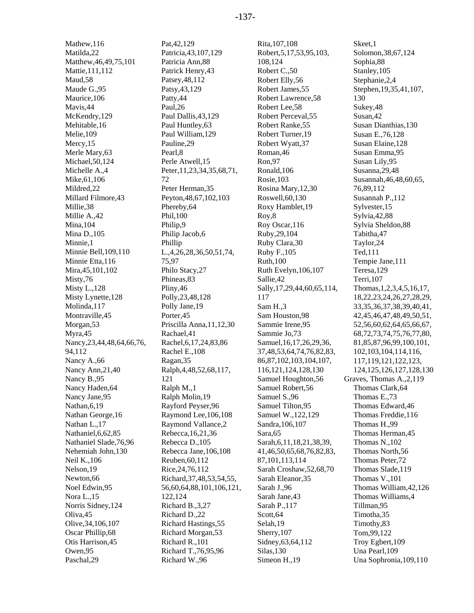Mathew,116 Matilda,22 Matthew,46,49,75,101 Mattie,111,112 Maud,58 Maude G.,95 Maurice,106 Mavis,44 McKendry, 129 Mehitable,16 Melie,109 Mercy, 15 Merle Mary,63 Michael,50,124 Michelle A.,4 Mike,61,106 Mildred,22 Millard Filmore,43 Millie,38 Millie A.,42 Mina,104 Mina D.,105 Minnie,1 Minnie Bell,109,110 Minnie Etta,116 Mira,45,101,102 Misty,76 Misty L.,128 Misty Lynette,128 Molinda,117 Montraville,45 Morgan,53 Myra,45 Nancy,23,44,48,64,66,76, 94,112 Nancy A.,66 Nancy Ann,21,40 Nancy B.,95 Nancy Haden,64 Nancy Jane,95 Nathan,6,19 Nathan George,16 Nathan L.,17 Nathaniel,6,62,85 Nathaniel Slade,76,96 Nehemiah John,130 Neil K.,106 Nelson,19 Newton,66 Noel Edwin,95 Nora L.,15 Norris Sidney,124 Oliva,45 Olive,34,106,107 Oscar Phillip,68 Otis Harrison,45 Owen,95 Paschal,29

Pat,42,129 Patricia,43,107,129 Patricia Ann,88 Patrick Henry,43 Patsey,48,112 Patsy,43,129 Patty,44 Paul,26 Paul Dallis,43,129 Paul Huntley,63 Paul William,129 Pauline,29 Pearl,8 Perle Atwell,15 Peter,11,23,34,35,68,71, 72 Peter Herman,35 Peyton,48,67,102,103 Phereby,64 Phil,100 Philip,9 Philip Jacob,6 Phillip L.,4,26,28,36,50,51,74, 75,97 Philo Stacy,27 Phineas,83 Pliny,46 Polly,23,48,128 Polly Jane,19 Porter,45 Priscilla Anna,11,12,30 Rachael,41 Rachel,6,17,24,83,86 Rachel E.,108 Ragan,35 Ralph,4,48,52,68,117, 121 Ralph M.,1 Ralph Molin,19 Rayford Peyser,96 Raymond Lee,106,108 Raymond Vallance,2 Rebecca,16,21,36 Rebecca D.,105 Rebecca Jane,106,108 Reuben,60,112 Rice,24,76,112 Richard,37,48,53,54,55, 56,60,64,88,101,106,121, 122,124 Richard B.,3,27 Richard D.,22 Richard Hastings,55 Richard Morgan,53 Richard R.,101 Richard T.,76,95,96 Richard W.,96

Rita,107,108 Robert,5,17,53,95,103, 108,124 Robert C.,50 Robert Elly,56 Robert James,55 Robert Lawrence,58 Robert Lee,58 Robert Perceval,55 Robert Ranke,55 Robert Turner,19 Robert Wyatt,37 Roman,46 Ron,97 Ronald,106 Rosie,103 Rosina Mary,12,30 Roswell,60,130 Roxy Hamblet,19 Roy,8 Roy Oscar,116 Ruby,29,104 Ruby Clara,30 Ruby F.,105 Ruth,100 Ruth Evelyn,106,107 Sallie,42 Sally,17,29,44,60,65,114, 117 Sam H.,3 Sam Houston,98 Sammie Irene,95 Sammie Jo,73 Samuel,16,17,26,29,36, 37,48,53,64,74,76,82,83, 86,87,102,103,104,107, 116,121,124,128,130 Samuel Houghton,56 Samuel Robert,56 Samuel S.,96 Samuel Tilton,95 Samuel W.,122,129 Sandra,106,107 Sara,65 Sarah,6,11,18,21,38,39, 41,46,50,65,68,76,82,83, 87,101,113,114 Sarah Croshaw,52,68,70 Sarah Eleanor,35 Sarah J.,96 Sarah Jane,43 Sarah P.,117 Scott,64 Selah,19 Sherry,107 Sidney,63,64,112 Silas,130 Simeon H.,19

Skeet,1 Solomon,38,67,124 Sophia,88 Stanley,105 Stephanie,2,4 Stephen,19,35,41,107, 130 Sukey,48 Susan,42 Susan Dianthias,130 Susan E.,76,128 Susan Elaine,128 Susan Emma,95 Susan Lily,95 Susanna,29,48 Susannah,46,48,60,65, 76,89,112 Susannah P.,112 Sylvester,15 Sylvia,42,88 Sylvia Sheldon,88 Tabitha,47 Taylor,24 Ted,111 Tempie Jane,111 Teresa,129 Terri,107 Thomas,1,2,3,4,5,16,17, 18,22,23,24,26,27,28,29, 33,35,36,37,38,39,40,41, 42,45,46,47,48,49,50,51, 52,56,60,62,64,65,66,67, 68,72,73,74,75,76,77,80, 81,85,87,96,99,100,101, 102,103,104,114,116, 117,119,121,122,123, 124,125,126,127,128,130 Graves, Thomas A.,2,119 Thomas Clark,64 Thomas E.,73 Thomas Edward,46 Thomas Freddie,116 Thomas H.,99 Thomas Herman,45 Thomas N.,102 Thomas North,56 Thomas Peter,72 Thomas Slade,119 Thomas V.,101 Thomas William,42,126 Thomas Williams,4 Tillman,95 Timotha,35 Timothy,83 Tom,99,122 Troy Egbert,109 Una Pearl,109 Una Sophronia,109,110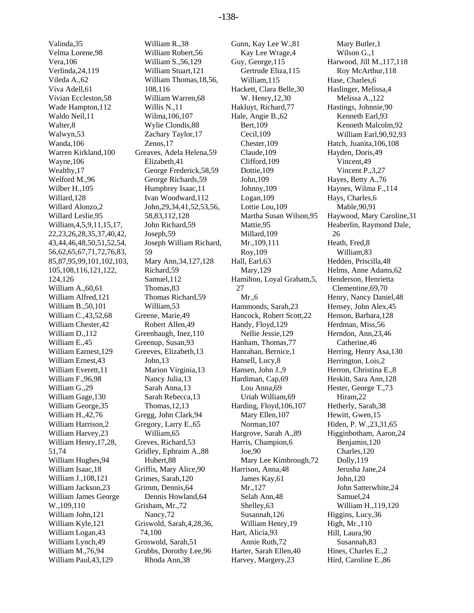Valinda,35 Velma Lorene,98 Vera,106 Verlinda,24,119 Vileda A.,62 Viva Adell,61 Vivian Eccleston,58 Wade Hampton,112 Waldo Neil,11 Walter,8 Walwyn,53 Wanda,106 Warren Kirkland,100 Wayne,106 Wealthy,17 Welford M.,96 Wilber H.,105 Willard,128 Willard Alonzo,2 Willard Leslie,95 William,4,5,9,11,15,17, 22,23,26,28,35,37,40,42, 43,44,46,48,50,51,52,54, 56,62,65,67,71,72,76,83, 85,87,95,99,101,102,103, 105,108,116,121,122, 124,126 William A.,60,61 William Alfred,121 William B.,50,101 William C.,43,52,68 William Chester,42 William D.,112 William E.,45 William Earnest,129 William Ernest,43 William Everett,11 William F.,96,98 William G.,29 William Gage,130 William George,35 William H.,42,76 William Harrison,2 William Harvey,23 William Henry,17,28, 51,74 William Hughes,94 William Isaac,18 William J.,108,121 William Jackson,23 William James George W.,109,110 William John,121 William Kyle,121 William Logan,43 William Lynch,49 William M.,76,94 William Paul,43,129

William R.,38 William Robert,56 William S.,56,129 William Stuart,121 William Thomas,18,56, 108,116 William Warren,68 Willis N.,11 Wilma,106,107 Wylie Clondis,88 Zachary Taylor,17 Zenos,17 Greaves, Adela Helena,59 Elizabeth,41 George Frederick,58,59 George Richards,59 Humphrey Isaac,11 Ivan Woodward,112 John,29,34,41,52,53,56, 58,83,112,128 John Richard,59 Joseph,59 Joseph William Richard, 59 Mary Ann,34,127,128 Richard,59 Samuel,112 Thomas,83 Thomas Richard,59 William,53 Greene, Marie,49 Robert Allen,49 Greenhaugh, Inez,110 Greenup, Susan,93 Greeves, Elizabeth,13 John,13 Marion Virginia,13 Nancy Julia,13 Sarah Anna,13 Sarah Rebecca,13 Thomas,12,13 Gregg, John Clark,94 Gregory, Larry E.,65 William,65 Greves, Richard,53 Gridley, Ephraim A.,88 Hubert,88 Griffis, Mary Alice,90 Grimes, Sarah,120 Grimm, Dennis,64 Dennis Howland,64 Grisham, Mr.,72 Nancy,72 Griswold, Sarah,4,28,36, 74,100 Groswold, Sarah,51 Grubbs, Dorothy Lee,96 Rhoda Ann,38

Gunn, Kay Lee W.,81 Kay Lee Wrage,4 Guy, George,115 Gertrude Eliza,115 William,115 Hackett, Clara Belle,30 W. Henry,12,30 Hakluyt, Richard,77 Hale, Angie B.,62 Bert,109 Cecil,109 Chester,109 Claude,109 Clifford,109 Dottie,109 John,109 Johnny,109 Logan,109 Lottie Lou,109 Martha Susan Wilson,95 Mattie,95 Millard,109 Mr.,109,111 Roy,109 Hall, Earl,63 Mary,129 Hamilton, Loyal Graham,5, 27 Mr.,6 Hammonds, Sarah,23 Hancock, Robert Scott,22 Handy, Floyd,129 Nellie Jessie,129 Hanham, Thomas,77 Hanrahan, Bernice,1 Hansell, Lucy,8 Hansen, John J.,9 Hardiman, Cap,69 Lou Anna,69 Uriah William,69 Harding, Floyd,106,107 Mary Ellen,107 Norman,107 Hargrove, Sarah A.,89 Harris, Champion,6 Joe,90 Mary Lee Kimbrough,72 Harrison, Anna,48 James Kay,61 Mr.,127 Selah Ann,48 Shelley,63 Susannah,126 William Henry,19 Hart, Alicia,93 Annie Ruth,72 Harter, Sarah Ellen,40 Harvey, Margery,23

Mary Butler,1 Wilson G.,1 Harwood, Jill M.,117,118 Roy McArthur,118 Hase, Charles,6 Haslinger, Melissa,4 Melissa A.,122 Hastings, Johnnie,90 Kenneth Earl,93 Kenneth Malcolm,92 William Earl,90,92,93 Hatch, Juanita,106,108 Hayden, Doris,49 Vincent,49 Vincent P.,3,27 Hayes, Betty A.,76 Haynes, Wilma F.,114 Hays, Charles,6 Mable,90,91 Haywood, Mary Caroline,31 Heaberlin, Raymond Dale, 26 Heath, Fred,8 William,83 Hedden, Priscilla,48 Helms, Anne Adams,62 Henderson, Henrietta Clementine,69,70 Henry, Nancy Daniel,48 Hensey, John Alex,45 Henson, Barbara,128 Herdman, Miss,56 Herndon, Ann,23,46 Catherine,46 Herring, Henry Asa,130 Herrington, Lois,2 Herron, Christina E.,8 Heskitt, Sara Ann,128 Hester, George T.,73 Hiram,22 Hetherly, Sarah,38 Hewitt, Gwen,15 Hiden, P. W.,23,31,65 Higginbotham, Aaron,24 Benjamin,120 Charles,120 Dolly,119 Jerusha Jane,24 John,120 John Satterwhite,24 Samuel,24 William H.,119,120 Higgins, Lucy,36 High, Mr.,110 Hill, Laura,90 Susannah,83 Hines, Charles E.,2 Hird, Caroline E.,86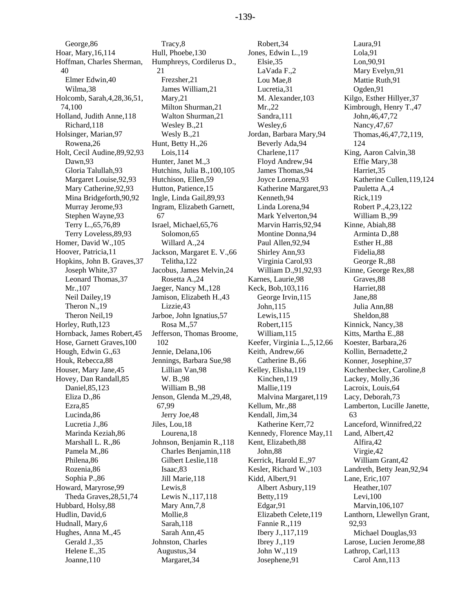George,86 Hoar, Mary,16,114 Hoffman, Charles Sherman, 40 Elmer Edwin,40 Wilma,38 Holcomb, Sarah,4,28,36,51, 74,100 Holland, Judith Anne,118 Richard,118 Holsinger, Marian,97 Rowena,26 Holt, Cecil Audine,89,92,93 Dawn,93 Gloria Talullah,93 Margaret Louise,92,93 Mary Catherine,92,93 Mina Bridgeforth,90,92 Murray Jerome,93 Stephen Wayne,93 Terry L.,65,76,89 Terry Loveless,89,93 Homer, David W.,105 Hoover, Patricia,11 Hopkins, John B. Graves,37 Joseph White,37 Leonard Thomas,37 Mr.,107 Neil Dailey,19 Theron N.,19 Theron Neil,19 Horley, Ruth,123 Hornback, James Robert,45 Hose, Garnett Graves,100 Hough, Edwin G.,63 Houk, Rebecca,88 Houser, Mary Jane,45 Hovey, Dan Randall,85 Daniel,85,123 Eliza D.,86 Ezra,85 Lucinda,86 Lucretia J.,86 Marinda Keziah,86 Marshall L. R.,86 Pamela M.,86 Philena,86 Rozenia,86 Sophia P.,86 Howard, Maryrose,99 Theda Graves,28,51,74 Hubbard, Holsy,88 Hudlin, David,6 Hudnall, Mary,6 Hughes, Anna M.,45 Gerald J.,35 Helene E.,35 Joanne,110

Tracy,8 Hull, Phoebe,130 Humphreys, Cordilerus D., 21 Frezsher,21 James William,21 Mary,21 Milton Shurman,21 Walton Shurman,21 Wesley B.,21 Wesly B.,21 Hunt, Betty H.,26 Lois,114 Hunter, Janet M.,3 Hutchins, Julia B.,100,105 Hutchison, Ellen,59 Hutton, Patience,15 Ingle, Linda Gail,89,93 Ingram, Elizabeth Garnett, 67 Israel, Michael,65,76 Solomon,65 Willard A.,24 Jackson, Margaret E. V.,66 Telitha,122 Jacobus, James Melvin,24 Rosetta A.,24 Jaeger, Nancy M.,128 Jamison, Elizabeth H.,43 Lizzie,43 Jarboe, John Ignatius,57 Rosa M.,57 Jefferson, Thomas Broome, 102 Jennie, Delana,106 Jennings, Barbara Sue,98 Lillian Van,98 W. B.,98 William B.,98 Jenson, Glenda M.,29,48, 67,99 Jerry Joe,48 Jiles, Lou,18 Lourena,18 Johnson, Benjamin R.,118 Charles Benjamin,118 Gilbert Leslie,118 Isaac,83 Jill Marie,118 Lewis,8 Lewis N.,117,118 Mary Ann,7,8 Mollie,8 Sarah,118 Sarah Ann,45 Johnston, Charles Augustus,34 Margaret,34

Robert,34 Jones, Edwin L.,19 Elsie,35 LaVada F.,2 Lou Mae,8 Lucretia,31 M. Alexander,103 Mr.,22 Sandra,111 Wesley,6 Jordan, Barbara Mary,94 Beverly Ada,94 Charlene,117 Floyd Andrew,94 James Thomas,94 Joyce Lorena,93 Katherine Margaret,93 Kenneth,94 Linda Lorena,94 Mark Yelverton,94 Marvin Harris,92,94 Montine Donna,94 Paul Allen,92,94 Shirley Ann,93 Virginia Carol,93 William D.,91,92,93 Karnes, Laurie,98 Keck, Bob,103,116 George Irvin,115 John,115 Lewis,115 Robert,115 William,115 Keefer, Virginia L.,5,12,66 Keith, Andrew,66 Catherine B.,66 Kelley, Elisha,119 Kinchen,119 Mallie,119 Malvina Margaret,119 Kellum, Mr.,88 Kendall, Jim,34 Katherine Kerr,72 Kennedy, Florence May,11 Kent, Elizabeth,88 John,88 Kerrick, Harold E.,97 Kesler, Richard W.,103 Kidd, Albert,91 Albert Asbury,119 Betty,119 Edgar,91 Elizabeth Celete,119 Fannie R.,119 Ibery J.,117,119 Ibrey J.,119 John W.,119 Josephene,91

Laura,91 Lola,91 Lon,90,91 Mary Evelyn,91 Mattie Ruth,91 Ogden,91 Kilgo, Esther Hillyer,37 Kimbrough, Henry T.,47 John,46,47,72 Nancy,47,67 Thomas,46,47,72,119, 124 King, Aaron Calvin,38 Effie Mary,38 Harriet,35 Katherine Cullen,119,124 Pauletta A.,4 Rick,119 Robert P.,4,23,122 William B.,99 Kinne, Abiah,88 Arminta D.,88 Esther H.,88 Fidelia,88 George R.,88 Kinne, George Rex,88 Graves,88 Harriet,88 Jane,88 Julia Ann,88 Sheldon,88 Kinnick, Nancy,38 Kitts, Martha E.,88 Koester, Barbara,26 Kollin, Bernadette,2 Konner, Josephine,37 Kuchenbecker, Caroline,8 Lackey, Molly,36 Lacroix, Louis,64 Lacy, Deborah,73 Lamberton, Lucille Janette, 63 Lanceford, Winnifred,22 Land, Albert,42 Alfira,42 Virgie,42 William Grant,42 Landreth, Betty Jean,92,94 Lane, Eric,107 Heather,107 Levi,100 Marvin,106,107 Lanthorn, Llewellyn Grant, 92,93 Michael Douglas,93 Larose, Lucien Jerome,88 Lathrop, Carl,113 Carol Ann,113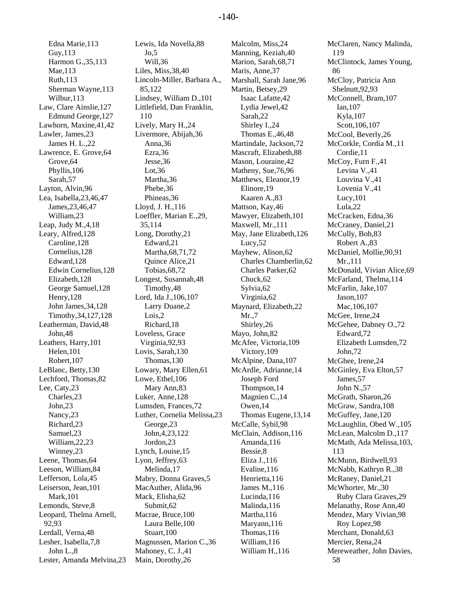Edna Marie,113 Guy,113 Harmon G.,35,113 Mae,113 Ruth,113 Sherman Wayne,113 Wilbur,113 Law, Clare Ainslie,127 Edmund George,127 Lawhorn, Maxine,41,42 Lawler, James,23 James H. L.,22 Lawrence, E. Grove,64 Grove,64 Phyllis,106 Sarah,57 Layton, Alvin,96 Lea, Isabella,23,46,47 James,23,46,47 William,23 Leap, Judy M.,4,18 Leary, Alfred,128 Caroline,128 Cornelius,128 Edward,128 Edwin Cornelius,128 Elizabeth,128 George Samuel,128 Henry,128 John James,34,128 Timothy,34,127,128 Leatherman, David,48 John,48 Leathers, Harry,101 Helen,101 Robert,107 LeBlanc, Betty,130 Lechford, Thomas,82 Lee, Caty,23 Charles,23 John,23 Nancy,23 Richard,23 Samuel,23 William,22,23 Winney,23 Leene, Thomas,64 Leeson, William,84 Lefferson, Lola,45 Leiserson, Jean,101 Mark,101 Lemonds, Steve,8 Leopard, Thelma Arnell, 92,93 Lerdall, Verna,48 Lesher, Isabella,7,8 John L.,8 Lester, Amanda Melvina,23

Lewis, Ida Novella,88  $Jo.5$ Will,36 Liles, Miss,38,40 Lincoln-Miller, Barbara A., 85,122 Lindsey, William D.,101 Littlefield, Dan Franklin, 110 Lively, Mary H.,24 Livermore, Abijah,36 Anna,36 Ezra,36 Jesse,36 Lot,36 Martha,36 Phebe,36 Phineas,36 Lloyd, J. H.,116 Loeffler, Marian E.,29, 35,114 Long, Dorothy,21 Edward,21 Martha,68,71,72 Quince Alice,21 Tobias,68,72 Longest, Susannah,48 Timothy,48 Lord, Ida J.,106,107 Larry Duane,2 Lois,2 Richard,18 Loveless, Grace Virginia,92,93 Lovis, Sarah,130 Thomas,130 Lowary, Mary Ellen,61 Lowe, Ethel,106 Mary Ann,83 Luker, Anne,128 Lumsden, Frances,72 Luther, Cornelia Melissa,23 George,23 John,4,23,122 Jordon,23 Lynch, Louise,15 Lyon, Jeffrey,63 Melinda,17 Mabry, Donna Graves,5 MacAuther, Alida,96 Mack, Elisha,62 Submit,62 Macrae, Bruce,100 Laura Belle,100 Stuart,100 Magnussen, Marion C.,36 Mahoney, C. J.,41 Main, Dorothy,26

Malcolm, Miss,24 Manning, Keziah,40 Marion, Sarah,68,71 Maris, Anne,37 Marshall, Sarah Jane,96 Martin, Betsey,29 Isaac Lafatte,42 Lydia Jewel,42 Sarah,22 Shirley I.,24 Thomas E.,46,48 Martindale, Jackson,72 Mascraft, Elizabeth,88 Mason, Louraine,42 Matheny, Sue,76,96 Matthews, Eleanor,19 Elinore,19 Kaaren A.,83 Mattson, Kay,46 Mawyer, Elizabeth,101 Maxwell, Mr.,111 May, Jane Elizabeth,126 Lucy,52 Mayhew, Alison,62 Charles Chamberlin,62 Charles Parker,62 Chuck,62 Sylvia,62 Virginia,62 Maynard, Elizabeth,22 Mr.,7 Shirley,26 Mayo, John,82 McAfee, Victoria,109 Victory,109 McAlpine, Dana,107 McArdle, Adrianne,14 Joseph Ford Thompson,14 Magnien C.,14 Owen,14 Thomas Eugene,13,14 McCalle, Sybil,98 McClain, Addison,116 Amanda,116 Bessie,8 Eliza J.,116 Evaline,116 Henrietta,116 James M.,116 Lucinda,116 Malinda,116 Martha,116 Maryann,116 Thomas,116 William,116 William H.,116

McClaren, Nancy Malinda, 119 McClintock, James Young, 86 McCloy, Patricia Ann Shelnutt,92,93 McConnell, Bram,107 Ian,107 Kyla,107 Scott,106,107 McCool, Beverly,26 McCorkle, Cordia M.,11 Cordie,11 McCoy, Furn F.,41 Levina V.,41 Louvina V.,41 Lovenia V.,41 Lucy,101 Lula,22 McCracken, Edna,36 McCraney, Daniel,21 McCully, Bob,83 Robert A.,83 McDaniel, Mollie,90,91 Mr.,111 McDonald, Vivian Alice,69 McFarland, Thelma,114 McFarlin, Jake,107 Jason,107 Mac,106,107 McGee, Irene,24 McGehee, Dabney O.,72 Edward,72 Elizabeth Lumsden,72 John,72 McGhee, Irene,24 McGinley, Eva Elton,57 James,57 John N.,57 McGrath, Sharon,26 McGraw, Sandra,108 McGuffey, Jane, 120 McLaughlin, Obed W.,105 McLean, Malcolm D.,117 McMath, Ada Melissa,103, 113 McMunn, Birdwell,93 McNabb, Kathryn R.,38 McRaney, Daniel,21 McWhorter, Mr.,30 Ruby Clara Graves,29 Melanathy, Rose Ann,40 Mendez, Mary Vivian,98 Roy Lopez,98 Merchant, Donald,63 Mercier, Rena,24 Mereweather, John Davies, 58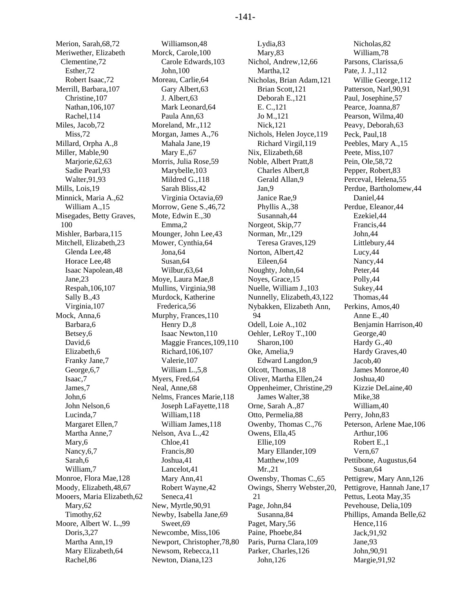Merion, Sarah,68,72 Meriwether, Elizabeth Clementine,72 Esther,72 Robert Isaac,72 Merrill, Barbara,107 Christine,107 Nathan,106,107 Rachel,114 Miles, Jacob,72 Miss<sub>.72</sub> Millard, Orpha A.,8 Miller, Mable,90 Marjorie,62,63 Sadie Pearl,93 Walter,91,93 Mills, Lois,19 Minnick, Maria A.,62 William A.,15 Misegades, Betty Graves, 100 Mishler, Barbara,115 Mitchell, Elizabeth,23 Glenda Lee,48 Horace Lee,48 Isaac Napolean,48 Jane,23 Respah,106,107 Sally B.,43 Virginia,107 Mock, Anna,6 Barbara,6 Betsey,6 David,6 Elizabeth,6 Franky Jane,7 George,6,7 Isaac,7 James,7 John,6 John Nelson,6 Lucinda,7 Margaret Ellen,7 Martha Anne,7 Mary,6 Nancy,6,7 Sarah,6 William,7 Monroe, Flora Mae,128 Moody, Elizabeth,48,67 Mooers, Maria Elizabeth,62 Mary,62 Timothy,62 Moore, Albert W. L.,99 Doris,3,27 Martha Ann,19 Mary Elizabeth,64 Rachel,86

Williamson,48 Morck, Carole,100 Carole Edwards,103 John,100 Moreau, Carlie,64 Gary Albert,63 J. Albert,63 Mark Leonard,64 Paula Ann,63 Moreland, Mr.,112 Morgan, James A.,76 Mahala Jane,19 Mary E.,67 Morris, Julia Rose,59 Marybelle,103 Mildred G.,118 Sarah Bliss,42 Virginia Octavia,69 Morrow, Gene S.,46,72 Mote, Edwin E.,30 Emma,2 Mounger, John Lee,43 Mower, Cynthia,64 Jona,64 Susan,64 Wilbur,63,64 Moye, Laura Mae,8 Mullins, Virginia,98 Murdock, Katherine Frederica,56 Murphy, Frances,110 Henry D.,8 Isaac Newton,110 Maggie Frances,109,110 Richard,106,107 Valerie,107 William L.,5,8 Myers, Fred,64 Neal, Anne,68 Nelms, Frances Marie,118 Joseph LaFayette,118 William,118 William James,118 Nelson, Ava L.,42 Chloe,41 Francis,80 Joshua,41 Lancelot,41 Mary Ann,41 Robert Wayne,42 Seneca,41 New, Myrtle,90,91 Newby, Isabella Jane,69 Sweet,69 Newcombe, Miss,106 Newport, Christopher,78,80 Newsom, Rebecca,11 Newton, Diana,123

Lydia,83 Mary,83 Nichol, Andrew,12,66 Martha,12 Nicholas, Brian Adam,121 Brian Scott,121 Deborah E.,121 E. C.,121 Jo M.,121 Nick,121 Nichols, Helen Joyce,119 Richard Virgil,119 Nix, Elizabeth,68 Noble, Albert Pratt,8 Charles Albert,8 Gerald Allan,9 Jan,9 Janice Rae,9 Phyllis A.,38 Susannah,44 Norgeot, Skip,77 Norman, Mr.,129 Teresa Graves,129 Norton, Albert,42 Eileen,64 Noughty, John,64 Noyes, Grace,15 Nuelle, William J.,103 Nunnelly, Elizabeth,43,122 Nybakken, Elizabeth Ann, 94 Odell, Loie A.,102 Oehler, LeRoy T.,100 Sharon,100 Oke, Amelia,9 Edward Langdon,9 Olcott, Thomas,18 Oliver, Martha Ellen,24 Oppenheimer, Christine,29 James Walter,38 Orne, Sarah A.,87 Otto, Permelia,88 Owenby, Thomas C.,76 Owens, Ella,45 Ellie,109 Mary Ellander,109 Matthew,109 Mr.,21 Owensby, Thomas C.,65 Owings, Sherry Webster,20, 21 Page, John,84 Susanna,84 Paget, Mary,56 Paine, Phoebe,84 Paris, Purna Clara,109 Parker, Charles,126 John,126

Nicholas,82 William,78 Parsons, Clarissa,6 Pate, J. J.,112 Willie George,112 Patterson, Narl,90,91 Paul, Josephine,57 Pearce, Joanna,87 Pearson, Wilma,40 Peavy, Deborah,63 Peck, Paul,18 Peebles, Mary A.,15 Peete, Miss,107 Pein, Ole,58,72 Pepper, Robert,83 Perceval, Helena,55 Perdue, Bartholomew,44 Daniel,44 Perdue, Eleanor,44 Ezekiel,44 Francis,44 John,44 Littlebury,44 Lucy,44 Nancy,44 Peter,44 Polly,44 Sukey,44 Thomas,44 Perkins, Amos,40 Anne E.,40 Benjamin Harrison,40 George,40 Hardy G.,40 Hardy Graves,40 Jacob,40 James Monroe,40 Joshua,40 Kizzie DeLaine,40 Mike,38 William,40 Perry, John,83 Peterson, Arlene Mae,106 Arthur,106 Robert E.,1 Vern,67 Pettibone, Augustus,64 Susan,64 Pettigrew, Mary Ann,126 Pettigrove, Hannah Jane,17 Pettus, Leota May,35 Pevehouse, Delia,109 Phillips, Amanda Belle,62 Hence,116 Jack,91,92 Jane,93 John,90,91 Margie,91,92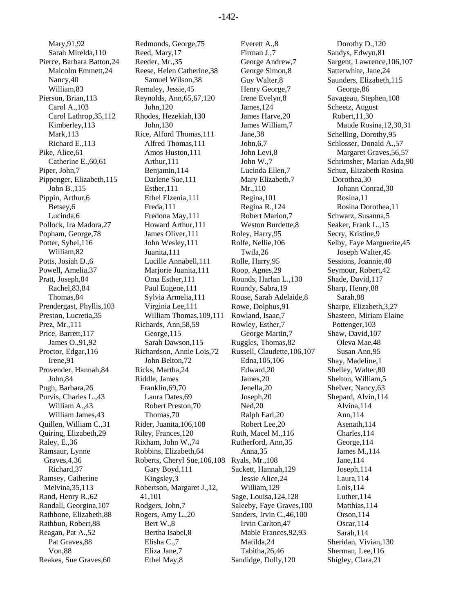Mary,91,92 Sarah Mirelda,110 Pierce, Barbara Batton,24 Malcolm Emmett,24 Nancy,40 William,83 Pierson, Brian,113 Carol A.,103 Carol Lathrop,35,112 Kimberley,113 Mark,113 Richard E.,113 Pike, Alice,61 Catherine E.,60,61 Piper, John,7 Pippenger, Elizabeth,115 John B.,115 Pippin, Arthur,6 Betsey,6 Lucinda,6 Pollock, Ira Madora,27 Popham, George,78 Potter, Sybel,116 William,82 Potts, Josiah D.,6 Powell, Amelia,37 Pratt, Joseph,84 Rachel,83,84 Thomas,84 Prendergast, Phyllis,103 Preston, Lucretia,35 Prez, Mr.,111 Price, Barrett,117 James O.,91,92 Proctor, Edgar,116 Irene,91 Provender, Hannah,84 John,84 Pugh, Barbara,26 Purvis, Charles L.,43 William A.,43 William James,43 Quillen, William C.,31 Quiring, Elizabeth,29 Raley, E.,36 Ramsaur, Lynne Graves,4,36 Richard,37 Ramsey, Catherine Melvina,35,113 Rand, Henry R.,62 Randall, Georgina,107 Rathbone, Elizabeth,88 Rathbun, Robert,88 Reagan, Pat A.,52 Pat Graves,88 Von,88 Reakes, Sue Graves,60

Redmonds, George,75 Reed, Mary,17 Reeder, Mr.,35 Reese, Helen Catherine,38 Samuel Wilson,38 Remaley, Jessie,45 Reynolds, Ann,65,67,120 John,120 Rhodes, Hezekiah,130 John,130 Rice, Alford Thomas,111 Alfred Thomas,111 Amos Huston,111 Arthur,111 Benjamin,114 Darlene Sue,111 Esther,111 Ethel Elzenia,111 Freda,111 Fredona May,111 Howard Arthur,111 James Oliver,111 John Wesley,111 Juanita,111 Lucille Annabell,111 Mariorie Juanita, 111 Oma Esther,111 Paul Eugene,111 Sylvia Armelia,111 Virginia Lee,111 William Thomas,109,111 Richards, Ann,58,59 George,115 Sarah Dawson,115 Richardson, Annie Lois,72 John Belton,72 Ricks, Martha,24 Riddle, James Franklin,69,70 Laura Dates,69 Robert Preston,70 Thomas,70 Rider, Juanita,106,108 Riley, Frances,120 Rixham, John W.,74 Robbins, Elizabeth,64 Roberts, Cheryl Sue,106,108 Gary Boyd,111 Kingsley,3 Robertson, Margaret J.,12, 41,101 Rodgers, John,7 Rogers, Amy L.,20 Bert W.,8 Bertha Isabel,8 Elisha C.,7 Eliza Jane,7 Ethel May,8

Everett A.,8 Firman J.,7 George Andrew,7 George Simon,8 Guy Walter,8 Henry George,7 Irene Evelyn,8 James,124 James Harve,20 James William,7 Jane,38 John,6,7 John Levi,8 John W.,7 Lucinda Ellen,7 Mary Elizabeth,7 Mr.,110 Regina,101 Regina R.,124 Robert Marion,7 Weston Burdette,8 Roley, Harry,95 Rolfe, Nellie,106 Twila,26 Rolle, Harry,95 Roop, Agnes,29 Rounds, Harlan L.,130 Roundy, Sabra,19 Rouse, Sarah Adelaide,8 Rowe, Dolphus,91 Rowland, Isaac,7 Rowley, Esther,7 George Martin,7 Ruggles, Thomas,82 Russell, Claudette,106,107 Edna,105,106 Edward,20 James,20 Jenella,20 Joseph,20 Ned,20 Ralph Earl,20 Robert Lee,20 Ruth, Macel M.,116 Rutherford, Ann,35 Anna,35 Ryals, Mr.,108 Sackett, Hannah,129 Jessie Alice,24 William,129 Sage, Louisa,124,128 Saleeby, Faye Graves,100 Sanders, Irvin C.,46,100 Irvin Carlton,47 Mable Frances,92,93 Matilda,24 Tabitha,26,46 Sandidge, Dolly,120

Dorothy D.,120 Sandys, Edwyn,81 Sargent, Lawrence,106,107 Satterwhite, Jane,24 Saunders, Elizabeth,115 George,86 Savageau, Stephen,108 Scheetz, August Robert,11,30 Maude Rosina,12,30,31 Schelling, Dorothy,95 Schlosser, Donald A.,57 Margaret Graves,56,57 Schrimsher, Marian Ada,90 Schuz, Elizabeth Rosina Dorothea,30 Johann Conrad,30 Rosina,11 Rosina Dorothea,11 Schwarz, Susanna,5 Seaker, Frank L.,15 Secry, Kristine,9 Selby, Faye Marguerite,45 Joseph Walter,45 Sessions, Joannie,40 Seymour, Robert,42 Shade, David,117 Sharp, Henry,88 Sarah,88 Sharpe, Elizabeth,3,27 Shasteen, Miriam Elaine Pottenger,103 Shaw, David,107 Oleva Mae,48 Susan Ann,95 Shay, Madeline,1 Shelley, Walter,80 Shelton, William,5 Shelver, Nancy,63 Shepard, Alvin,114 Alvina,114 Ann,114 Asenath,114 Charles,114 George,114 James M.,114 Jane,114 Joseph,114 Laura,114 Lois,114 Luther,114 Matthias,114 Orson,114 Oscar,114 Sarah,114 Sheridan, Vivian,130 Sherman, Lee,116 Shigley, Clara,21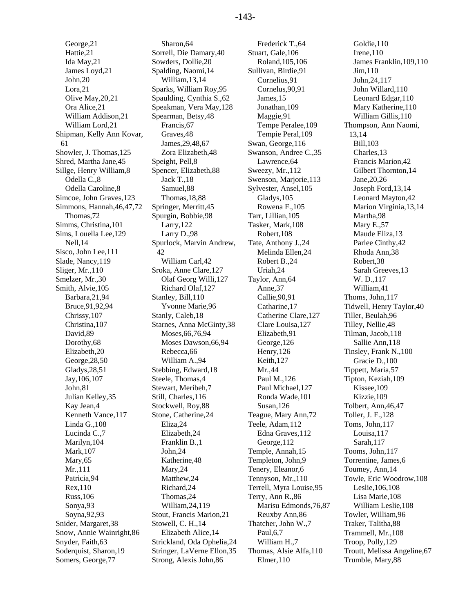George,21 Hattie,21 Ida May,21 James Loyd,21 John,20 Lora,21 Olive May,20,21 Ora Alice,21 William Addison,21 William Lord,21 Shipman, Kelly Ann Kovar, 61 Showler, J. Thomas,125 Shred, Martha Jane,45 Sillge, Henry William,8 Odella C.,8 Odella Caroline,8 Simcoe, John Graves,123 Simmons, Hannah,46,47,72 Thomas,72 Simms, Christina,101 Sims, Louella Lee,129 Nell,14 Sisco, John Lee,111 Slade, Nancy,119 Sliger, Mr.,110 Smelzer, Mr.,30 Smith, Alvie,105 Barbara,21,94 Bruce,91,92,94 Chrissy,107 Christina,107 David,89 Dorothy,68 Elizabeth,20 George,28,50 Gladys,28,51 Jay,106,107 John,81 Julian Kelley,35 Kay Jean,4 Kenneth Vance,117 Linda G.,108 Lucinda C.,7 Marilyn,104 Mark,107 Mary,65 Mr.,111 Patricia,94 Rex,110 Russ,106 Sonya,93 Soyna,92,93 Snider, Margaret,38 Snow, Annie Wainright,86 Snyder, Faith,63 Soderquist, Sharon,19 Somers, George,77

Sharon,64 Sorrell, Die Damary,40 Sowders, Dollie,20 Spalding, Naomi,14 William,13,14 Sparks, William Roy,95 Spaulding, Cynthia S.,62 Speakman, Vera May,128 Spearman, Betsy,48 Francis,67 Graves,48 James,29,48,67 Zora Elizabeth,48 Speight, Pell,8 Spencer, Elizabeth,88 Jack T.,18 Samuel,88 Thomas,18,88 Springer, Merritt,45 Spurgin, Bobbie,98 Larry,122 Larry D.,98 Spurlock, Marvin Andrew, 42 William Carl,42 Sroka, Anne Clare,127 Olaf Georg Willi,127 Richard Olaf,127 Stanley, Bill,110 Yvonne Marie,96 Stanly, Caleb,18 Starnes, Anna McGinty,38 Moses,66,76,94 Moses Dawson,66,94 Rebecca,66 William A.,94 Stebbing, Edward,18 Steele, Thomas,4 Stewart, Meribeh,7 Still, Charles,116 Stockwell, Roy,88 Stone, Catherine,24 Eliza,24 Elizabeth,24 Franklin B.,1 John,24 Katherine,48 Mary,24 Matthew,24 Richard,24 Thomas,24 William,24,119 Stout, Francis Marion,21 Stowell, C. H.,14 Elizabeth Alice,14 Strickland, Oda Ophelia,24 Stringer, LaVerne Ellon,35 Strong, Alexis John,86

Frederick T.,64 Stuart, Gale,106 Roland,105,106 Sullivan, Birdie,91 Cornelius,91 Cornelus,90,91 James,15 Jonathan,109 Maggie,91 Tempe Peralee,109 Tempie Peral,109 Swan, George,116 Swanson, Andree C.,35 Lawrence,64 Sweezy, Mr.,112 Swenson, Marjorie,113 Sylvester, Ansel,105 Gladys,105 Rowena F.,105 Tarr, Lillian,105 Tasker, Mark,108 Robert,108 Tate, Anthony J.,24 Melinda Ellen,24 Robert B.,24 Uriah,24 Taylor, Ann,64 Anne,37 Callie,90,91 Catharine,17 Catherine Clare,127 Clare Louisa,127 Elizabeth,91 George,126 Henry,126 Keith,127 Mr.,44 Paul M.,126 Paul Michael,127 Ronda Wade,101 Susan,126 Teague, Mary Ann,72 Teele, Adam,112 Edna Graves,112 George,112 Temple, Annah,15 Templeton, John,9 Tenery, Eleanor,6 Tennyson, Mr.,110 Terrell, Myra Louise,95 Terry, Ann R.,86 Marisu Edmonds,76,87 Reuxby Ann,86 Thatcher, John W.,7 Paul,6,7 William H.,7 Thomas, Alsie Alfa,110 Elmer,110

Goldie,110 Irene,110 James Franklin,109,110 Jim,110 John,24,117 John Willard,110 Leonard Edgar,110 Mary Katherine,110 William Gillis,110 Thompson, Ann Naomi, 13,14 Bill,103 Charles,13 Francis Marion,42 Gilbert Thornton,14 Jane,20,26 Joseph Ford,13,14 Leonard Mayton,42 Marion Virginia,13,14 Martha,98 Mary E.,57 Maude Eliza,13 Parlee Cinthy,42 Rhoda Ann,38 Robert,38 Sarah Greeves,13 W. D.,117 William,41 Thoms, John,117 Tidwell, Henry Taylor,40 Tiller, Beulah,96 Tilley, Nellie,48 Tilman, Jacob,118 Sallie Ann,118 Tinsley, Frank N.,100 Gracie D.,100 Tippett, Maria,57 Tipton, Keziah,109 Kissee,109 Kizzie,109 Tolbert, Ann,46,47 Toller, J. F.,128 Toms, John,117 Louisa,117 Sarah,117 Tooms, John,117 Torrentine, James,6 Toumey, Ann,14 Towle, Eric Woodrow,108 Leslie,106,108 Lisa Marie,108 William Leslie,108 Towler, William,96 Traker, Talitha,88 Trammell, Mr.,108 Troop, Polly,129 Troutt, Melissa Angeline,67 Trumble, Mary,88